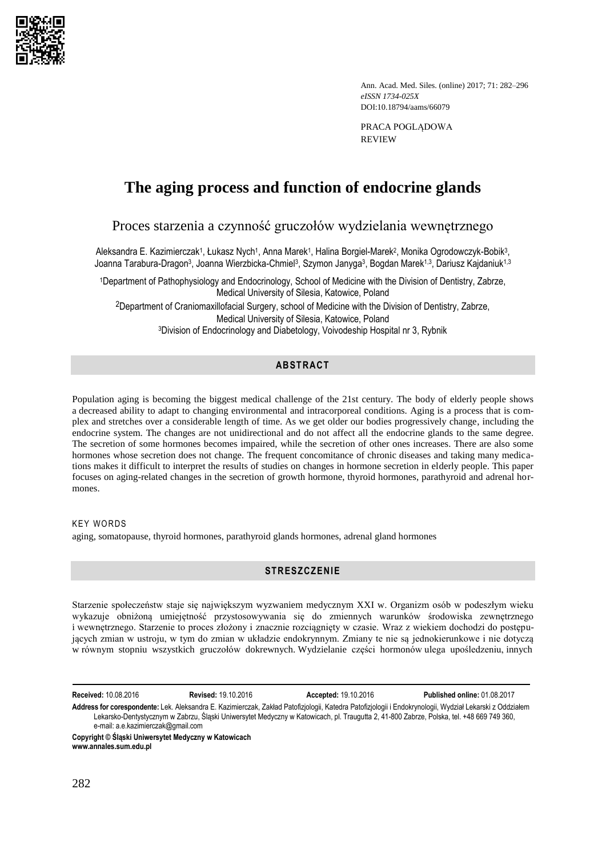

Ann. Acad. Med. Siles. (online) 2017; 71: 282–296 *eISSN 1734-025X*  DOI:10.18794/aams/66079

PRACA POGLĄDOWA REVIEW

# **The aging process and function of endocrine glands**

Proces starzenia a czynność gruczołów wydzielania wewnętrznego

Aleksandra E. Kazimierczak1, Łukasz Nych1, Anna Marek1, Halina Borgiel-Marek<sup>2</sup>, Monika Ogrodowczyk-Bobik<sup>3</sup>, Joanna Tarabura-Dragon<sup>3</sup>, Joanna Wierzbicka-Chmiel<sup>3</sup>, Szymon Janyga<sup>3</sup>, Bogdan Marek<sup>1,3</sup>, Dariusz Kajdaniuk<sup>1,3</sup>

<sup>1</sup>Department of Pathophysiology and Endocrinology, School of Medicine with the Division of Dentistry, Zabrze, Medical University of Silesia, Katowice, Poland 2Department of Craniomaxillofacial Surgery, school of Medicine with the Division of Dentistry, Zabrze, Medical University of Silesia, Katowice, Poland <sup>3</sup>Division of Endocrinology and Diabetology, Voivodeship Hospital nr 3, Rybnik

# **ABSTRACT**

Population aging is becoming the biggest medical challenge of the 21st century. The body of elderly people shows a decreased ability to adapt to changing environmental and intracorporeal conditions. Aging is a process that is complex and stretches over a considerable length of time. As we get older our bodies progressively change, including the endocrine system. The changes are not unidirectional and do not affect all the endocrine glands to the same degree. The secretion of some hormones becomes impaired, while the secretion of other ones increases. There are also some hormones whose secretion does not change. The frequent concomitance of chronic diseases and taking many medications makes it difficult to interpret the results of studies on changes in hormone secretion in elderly people. This paper focuses on aging-related changes in the secretion of growth hormone, thyroid hormones, parathyroid and adrenal hormones.

#### **KEY WORDS**

aging, somatopause, thyroid hormones, parathyroid glands hormones, adrenal gland hormones

# **STRESZCZENIE**

Starzenie społeczeństw staje się największym wyzwaniem medycznym XXI w. Organizm osób w podeszłym wieku wykazuje obniżoną umiejętność przystosowywania się do zmiennych warunków środowiska zewnętrznego i wewnętrznego. Starzenie to proces złożony i znacznie rozciągnięty w czasie. Wraz z wiekiem dochodzi do postępujących zmian w ustroju, w tym do zmian w układzie endokrynnym. Zmiany te nie są jednokierunkowe i nie dotyczą w równym stopniu wszystkich gruczołów dokrewnych. Wydzielanie części hormonów ulega upośledzeniu, innych

**Received:** 10.08.2016 **Revised:** 19.10.2016 **Accepted:** 19.10.2016 **Published online:** 01.08.2017

**Address for corespondente:** Lek. Aleksandra E. Kazimierczak, Zakład Patofizjologii, Katedra Patofizjologii i Endokrynologii, Wydział Lekarski z Oddziałem Lekarsko-Dentystycznym w Zabrzu, Śląski Uniwersytet Medyczny w Katowicach, pl. Traugutta 2, 41-800 Zabrze, Polska, tel. +48 669 749 360, e-mail: [a.e.kazimierczak@gmail.com](mailto:a.e.kazimierczak@gmail.com)

**Copyright © Śląski Uniwersytet Medyczny w Katowicach www.annales.sum.edu.pl**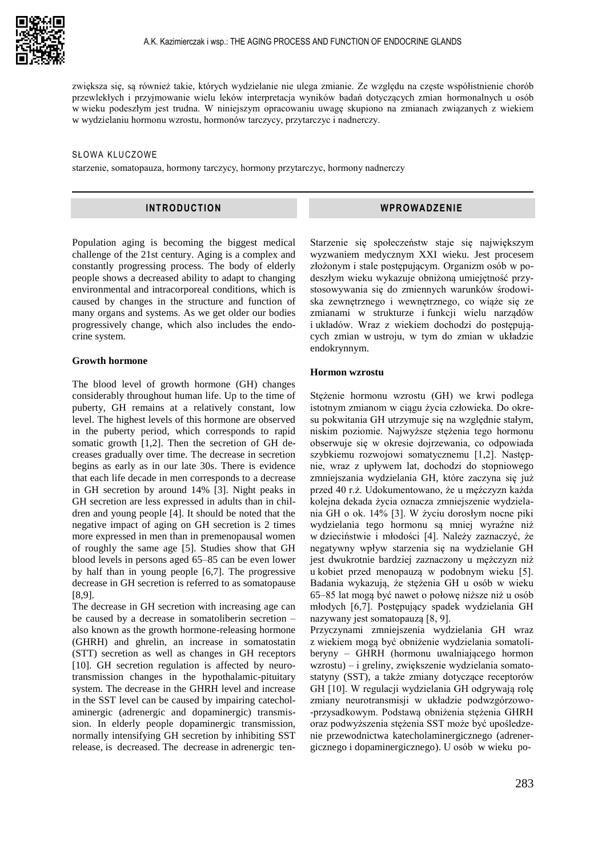

zwiększa się, są również takie, których wydzielanie nie ulega zmianie. Ze względu na częste współistnienie chorób przewlekłych i przyjmowanie wielu leków interpretacja wyników badań dotyczących zmian hormonalnych u osób w wieku podeszłym jest trudna. W niniejszym opracowaniu uwagę skupiono na zmianach związanych z wiekiem w wydzielaniu hormonu wzrostu, hormonów tarczycy, przytarczyc i nadnerczy.

#### SŁOWA KLUCZOWE

starzenie, somatopauza, hormony tarczycy, hormony przytarczyc, hormony nadnerczy

# **INTRODUCTION**

Population aging is becoming the biggest medical challenge of the 21st century. Aging is a complex and constantly progressing process. The body of elderly people shows a decreased ability to adapt to changing environmental and intracorporeal conditions, which is caused by changes in the structure and function of many organs and systems. As we get older our bodies progressively change, which also includes the endocrine system.

# **Growth hormone**

The blood level of growth hormone (GH) changes considerably throughout human life. Up to the time of puberty, GH remains at a relatively constant, low level. The highest levels of this hormone are observed in the puberty period, which corresponds to rapid somatic growth [1,2]. Then the secretion of GH decreases gradually over time. The decrease in secretion begins as early as in our late 30s. There is evidence that each life decade in men corresponds to a decrease in GH secretion by around 14% [3]. Night peaks in GH secretion are less expressed in adults than in children and young people [4]. It should be noted that the negative impact of aging on GH secretion is 2 times more expressed in men than in premenopausal women of roughly the same age [5]. Studies show that GH blood levels in persons aged 65–85 can be even lower by half than in young people [6,7]. The progressive decrease in GH secretion is referred to as somatopause [8,9].

The decrease in GH secretion with increasing age can be caused by a decrease in somatoliberin secretion – also known as the growth hormone-releasing hormone (GHRH) and ghrelin, an increase in somatostatin (STT) secretion as well as changes in GH receptors [10]. GH secretion regulation is affected by neurotransmission changes in the hypothalamic-pituitary system. The decrease in the GHRH level and increase in the SST level can be caused by impairing catecholaminergic (adrenergic and dopaminergic) transmission. In elderly people dopaminergic transmission, normally intensifying GH secretion by inhibiting SST release, is decreased. The decrease in adrenergic ten-

# **WPROWADZENIE**

Starzenie się społeczeństw staje się największym wyzwaniem medycznym XXI wieku. Jest procesem złożonym i stale postępującym. Organizm osób w podeszłym wieku wykazuje obniżoną umiejętność przystosowywania się do zmiennych warunków środowiska zewnętrznego i wewnętrznego, co wiąże się ze zmianami w strukturze i funkcji wielu narządów i układów. Wraz z wiekiem dochodzi do postępujących zmian w ustroju, w tym do zmian w układzie endokrynnym.

## **Hormon wzrostu**

Stężenie hormonu wzrostu (GH) we krwi podlega istotnym zmianom w ciągu życia człowieka. Do okresu pokwitania GH utrzymuje się na względnie stałym, niskim poziomie. Najwyższe stężenia tego hormonu obserwuje się w okresie dojrzewania, co odpowiada szybkiemu rozwojowi somatycznemu [1,2]. Następnie, wraz z upływem lat, dochodzi do stopniowego zmniejszania wydzielania GH, które zaczyna się już przed 40 r.ż. Udokumentowano, że u mężczyzn każda kolejna dekada życia oznacza zmniejszenie wydzielania GH o ok. 14% [3]. W życiu dorosłym nocne piki wydzielania tego hormonu są mniej wyraźne niż w dzieciństwie i młodości [4]. Należy zaznaczyć, że negatywny wpływ starzenia się na wydzielanie GH jest dwukrotnie bardziej zaznaczony u mężczyzn niż u kobiet przed menopauzą w podobnym wieku [5]. Badania wykazują, że stężenia GH u osób w wieku 65–85 lat mogą być nawet o połowę niższe niż u osób młodych [6,7]. Postępujący spadek wydzielania GH nazywany jest somatopauzą [8, 9].

Przyczynami zmniejszenia wydzielania GH wraz z wiekiem mogą być obniżenie wydzielania somatoliberyny – GHRH (hormonu uwalniającego hormon wzrostu) – i greliny, zwiększenie wydzielania somatostatyny (SST), a także zmiany dotyczące receptorów GH [10]. W regulacji wydzielania GH odgrywają rolę zmiany neurotransmisji w układzie podwzgórzowo- -przysadkowym. Podstawą obniżenia stężenia GHRH oraz podwyższenia stężenia SST może być upośledzenie przewodnictwa katecholaminergicznego (adrenergicznego i dopaminergicznego). U osób w wieku po-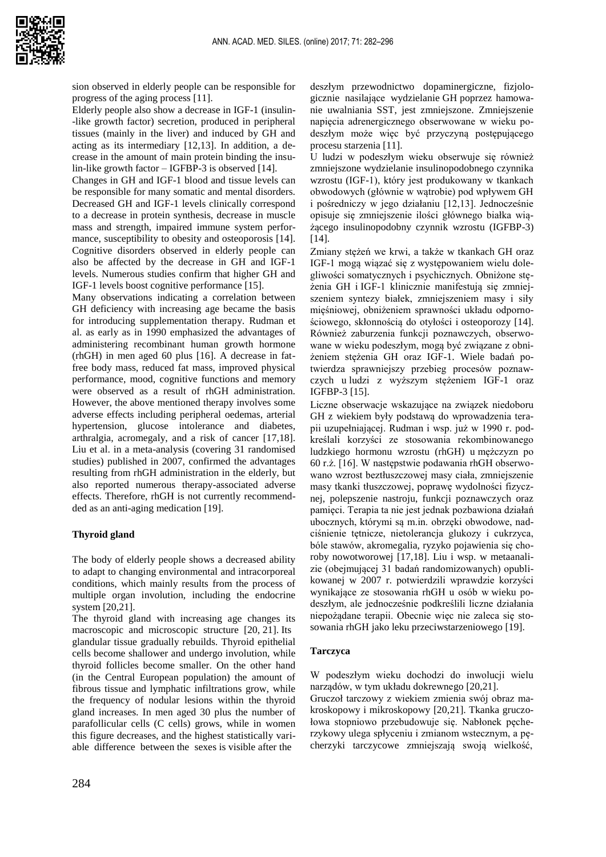

sion observed in elderly people can be responsible for progress of the aging process [11].

Elderly people also show a decrease in IGF-1 (insulin- -like growth factor) secretion, produced in peripheral tissues (mainly in the liver) and induced by GH and acting as its intermediary [12,13]. In addition, a decrease in the amount of main protein binding the insulin-like growth factor – IGFBP-3 is observed [14].

Changes in GH and IGF-1 blood and tissue levels can be responsible for many somatic and mental disorders. Decreased GH and IGF-1 levels clinically correspond to a decrease in protein synthesis, decrease in muscle mass and strength, impaired immune system performance, susceptibility to obesity and osteoporosis [14]. Cognitive disorders observed in elderly people can also be affected by the decrease in GH and IGF-1 levels. Numerous studies confirm that higher GH and IGF-1 levels boost cognitive performance [15].

Many observations indicating a correlation between GH deficiency with increasing age became the basis for introducing supplementation therapy. Rudman et al. as early as in 1990 emphasized the advantages of administering recombinant human growth hormone (rhGH) in men aged 60 plus [16]. A decrease in fatfree body mass, reduced fat mass, improved physical performance, mood, cognitive functions and memory were observed as a result of rhGH administration. However, the above mentioned therapy involves some adverse effects including peripheral oedemas, arterial hypertension, glucose intolerance and diabetes, arthralgia, acromegaly, and a risk of cancer [17,18]. Liu et al. in a meta-analysis (covering 31 randomised studies) published in 2007, confirmed the advantages resulting from rhGH administration in the elderly, but also reported numerous therapy-associated adverse effects. Therefore, rhGH is not currently recommendded as an anti-aging medication [19].

# **Thyroid gland**

The body of elderly people shows a decreased ability to adapt to changing environmental and intracorporeal conditions, which mainly results from the process of multiple organ involution, including the endocrine system [20,21].

The thyroid gland with increasing age changes its macroscopic and microscopic structure [20, 21]. Its glandular tissue gradually rebuilds. Thyroid epithelial cells become shallower and undergo involution, while thyroid follicles become smaller. On the other hand (in the Central European population) the amount of fibrous tissue and lymphatic infiltrations grow, while the frequency of nodular lesions within the thyroid gland increases. In men aged 30 plus the number of parafollicular cells (C cells) grows, while in women this figure decreases, and the highest statistically variable difference between the sexes is visible after the

deszłym przewodnictwo dopaminergiczne, fizjologicznie nasilające wydzielanie GH poprzez hamowanie uwalniania SST, jest zmniejszone. Zmniejszenie napięcia adrenergicznego obserwowane w wieku podeszłym może więc być przyczyną postępującego procesu starzenia [11].

U ludzi w podeszłym wieku obserwuje się również zmniejszone wydzielanie insulinopodobnego czynnika wzrostu (IGF-1), który jest produkowany w tkankach obwodowych (głównie w wątrobie) pod wpływem GH i pośredniczy w jego działaniu [12,13]. Jednocześnie opisuje się zmniejszenie ilości głównego białka wiążącego insulinopodobny czynnik wzrostu (IGFBP-3) [14].

Zmiany stężeń we krwi, a także w tkankach GH oraz IGF-1 mogą wiązać się z występowaniem wielu dolegliwości somatycznych i psychicznych. Obniżone stężenia GH i IGF-1 klinicznie manifestują się zmniejszeniem syntezy białek, zmniejszeniem masy i siły mięśniowej, obniżeniem sprawności układu odpornościowego, skłonnością do otyłości i osteoporozy [14]. Również zaburzenia funkcji poznawczych, obserwowane w wieku podeszłym, mogą być związane z obniżeniem stężenia GH oraz IGF-1. Wiele badań potwierdza sprawniejszy przebieg procesów poznawczych u ludzi z wyższym stężeniem IGF-1 oraz IGFBP-3 [15].

Liczne obserwacje wskazujące na związek niedoboru GH z wiekiem były podstawą do wprowadzenia terapii uzupełniającej. Rudman i wsp. już w 1990 r. podkreślali korzyści ze stosowania rekombinowanego ludzkiego hormonu wzrostu (rhGH) u mężczyzn po 60 r.ż. [16]. W następstwie podawania rhGH obserwowano wzrost beztłuszczowej masy ciała, zmniejszenie masy tkanki tłuszczowej, poprawę wydolności fizycznej, polepszenie nastroju, funkcji poznawczych oraz pamięci. Terapia ta nie jest jednak pozbawiona działań ubocznych, którymi są m.in. obrzęki obwodowe, nadciśnienie tętnicze, nietolerancja glukozy i cukrzyca, bóle stawów, akromegalia, ryzyko pojawienia się choroby nowotworowej [17,18]. Liu i wsp. w metaanalizie (obejmującej 31 badań randomizowanych) opublikowanej w 2007 r. potwierdzili wprawdzie korzyści wynikające ze stosowania rhGH u osób w wieku podeszłym, ale jednocześnie podkreślili liczne działania niepożądane terapii. Obecnie więc nie zaleca się stosowania rhGH jako leku przeciwstarzeniowego [19].

# **Tarczyca**

W podeszłym wieku dochodzi do inwolucji wielu narządów, w tym układu dokrewnego [20,21].

Gruczoł tarczowy z wiekiem zmienia swój obraz makroskopowy i mikroskopowy [20,21]. Tkanka gruczołowa stopniowo przebudowuje się. Nabłonek pęcherzykowy ulega spłyceniu i zmianom wstecznym, a pęcherzyki tarczycowe zmniejszają swoją wielkość,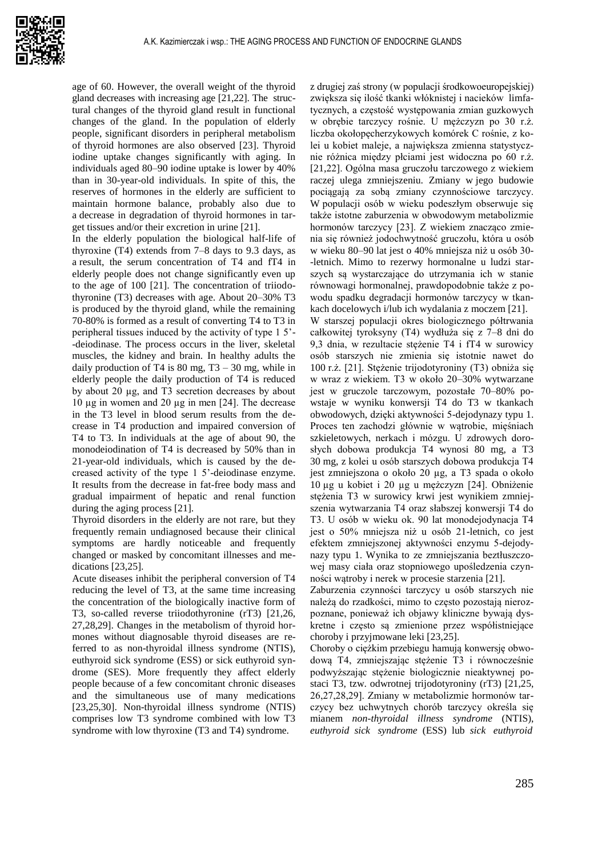age of 60. However, the overall weight of the thyroid gland decreases with increasing age [21,22]. The structural changes of the thyroid gland result in functional changes of the gland. In the population of elderly people, significant disorders in peripheral metabolism of thyroid hormones are also observed [23]. Thyroid iodine uptake changes significantly with aging. In individuals aged 80–90 iodine uptake is lower by 40% than in 30-year-old individuals. In spite of this, the reserves of hormones in the elderly are sufficient to maintain hormone balance, probably also due to a decrease in degradation of thyroid hormones in target tissues and/or their excretion in urine [21].

In the elderly population the biological half-life of thyroxine (T4) extends from 7–8 days to 9.3 days, as a result, the serum concentration of T4 and fT4 in elderly people does not change significantly even up to the age of 100 [21]. The concentration of triiodothyronine (T3) decreases with age. About 20–30% T3 is produced by the thyroid gland, while the remaining 70-80% is formed as a result of converting T4 to T3 in peripheral tissues induced by the activity of type 1 5'- -deiodinase. The process occurs in the liver, skeletal muscles, the kidney and brain. In healthy adults the daily production of T4 is  $80 \text{ mg}$ , T3 – 30 mg, while in elderly people the daily production of T4 is reduced by about 20 µg, and T3 secretion decreases by about 10 µg in women and 20 µg in men [24]. The decrease in the T3 level in blood serum results from the decrease in T4 production and impaired conversion of T4 to T3. In individuals at the age of about 90, the monodeiodination of T4 is decreased by 50% than in 21-year-old individuals, which is caused by the decreased activity of the type 1 5'-deiodinase enzyme. It results from the decrease in fat-free body mass and gradual impairment of hepatic and renal function during the aging process [21].

Thyroid disorders in the elderly are not rare, but they frequently remain undiagnosed because their clinical symptoms are hardly noticeable and frequently changed or masked by concomitant illnesses and medications [23,25].

Acute diseases inhibit the peripheral conversion of T4 reducing the level of T3, at the same time increasing the concentration of the biologically inactive form of T3, so-called reverse triiodothyronine (rT3) [21,26, 27,28,29]. Changes in the metabolism of thyroid hormones without diagnosable thyroid diseases are referred to as non-thyroidal illness syndrome (NTIS), euthyroid sick syndrome (ESS) or sick euthyroid syndrome (SES). More frequently they affect elderly people because of a few concomitant chronic diseases and the simultaneous use of many medications [23,25,30]. Non-thyroidal illness syndrome (NTIS) comprises low T3 syndrome combined with low T3 syndrome with low thyroxine (T3 and T4) syndrome.

z drugiej zaś strony (w populacji środkowoeuropejskiej) zwiększa się ilość tkanki włóknistej i nacieków limfatycznych, a częstość występowania zmian guzkowych w obrębie tarczycy rośnie. U mężczyzn po 30 r.ż. liczba okołopęcherzykowych komórek C rośnie, z kolei u kobiet maleje, a największa zmienna statystycznie różnica między płciami jest widoczna po 60 r.ż. [21,22]. Ogólna masa gruczołu tarczowego z wiekiem raczej ulega zmniejszeniu. Zmiany w jego budowie pociągają za sobą zmiany czynnościowe tarczycy. W populacji osób w wieku podeszłym obserwuje się także istotne zaburzenia w obwodowym metabolizmie hormonów tarczycy [23]. Z wiekiem znacząco zmienia się również jodochwytność gruczołu, która u osób w wieku 80–90 lat jest o 40% mniejsza niż u osób 30- -letnich. Mimo to rezerwy hormonalne u ludzi starszych są wystarczające do utrzymania ich w stanie równowagi hormonalnej, prawdopodobnie także z powodu spadku degradacji hormonów tarczycy w tkankach docelowych i/lub ich wydalania z moczem [21].

W starszej populacji okres biologicznego półtrwania całkowitej tyroksyny (T4) wydłuża się z 7–8 dni do 9,3 dnia, w rezultacie stężenie T4 i fT4 w surowicy osób starszych nie zmienia się istotnie nawet do 100 r.ż. [21]. Stężenie trijodotyroniny (T3) obniża się w wraz z wiekiem. T3 w około 20–30% wytwarzane jest w gruczole tarczowym, pozostałe 70–80% powstaje w wyniku konwersji T4 do T3 w tkankach obwodowych, dzięki aktywności 5-dejodynazy typu 1. Proces ten zachodzi głównie w wątrobie, mięśniach szkieletowych, nerkach i mózgu. U zdrowych dorosłych dobowa produkcja T4 wynosi 80 mg, a T3 30 mg, z kolei u osób starszych dobowa produkcja T4 jest zmniejszona o około 20 µg, a T3 spada o około 10 µg u kobiet i 20 µg u mężczyzn [24]. Obniżenie stężenia T3 w surowicy krwi jest wynikiem zmniejszenia wytwarzania T4 oraz słabszej konwersji T4 do T3. U osób w wieku ok. 90 lat monodejodynacja T4 jest o 50% mniejsza niż u osób 21-letnich, co jest efektem zmniejszonej aktywności enzymu 5-dejodynazy typu 1. Wynika to ze zmniejszania beztłuszczowej masy ciała oraz stopniowego upośledzenia czynności wątroby i nerek w procesie starzenia [21].

Zaburzenia czynności tarczycy u osób starszych nie należą do rzadkości, mimo to często pozostają nierozpoznane, ponieważ ich objawy kliniczne bywają dyskretne i często są zmienione przez współistniejące choroby i przyjmowane leki [23,25].

Choroby o ciężkim przebiegu hamują konwersję obwodową T4, zmniejszając stężenie T3 i równocześnie podwyższając stężenie biologicznie nieaktywnej postaci T3, tzw. odwrotnej trijodotyroniny (rT3) [21,25, 26,27,28,29]. Zmiany w metabolizmie hormonów tarczycy bez uchwytnych chorób tarczycy określa się mianem *non-thyroidal illness syndrome* (NTIS), *euthyroid sick syndrome* (ESS) lub *sick euthyroid*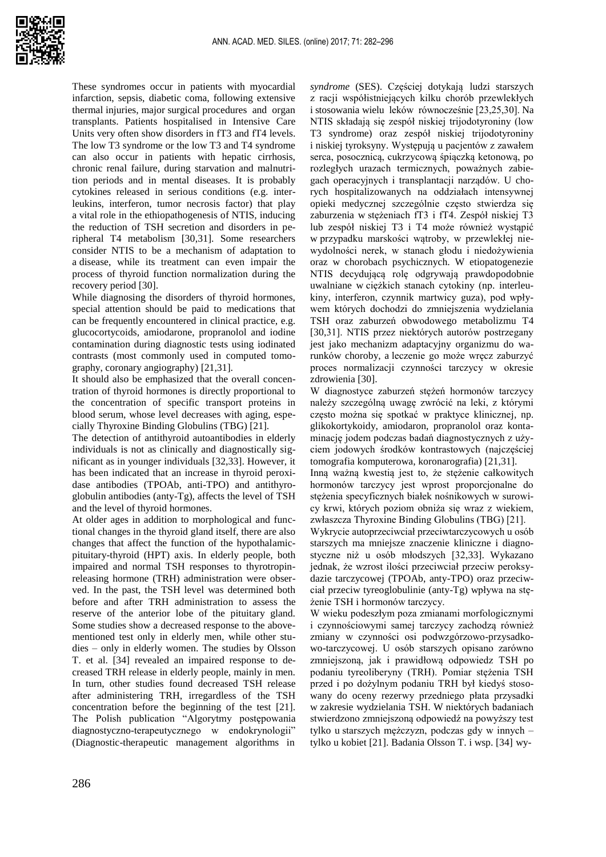These syndromes occur in patients with myocardial infarction, sepsis, diabetic coma, following extensive thermal injuries, major surgical procedures and organ transplants. Patients hospitalised in Intensive Care Units very often show disorders in fT3 and fT4 levels. The low T3 syndrome or the low T3 and T4 syndrome can also occur in patients with hepatic cirrhosis, chronic renal failure, during starvation and malnutrition periods and in mental diseases. It is probably cytokines released in serious conditions (e.g. interleukins, interferon, tumor necrosis factor) that play a vital role in the ethiopathogenesis of NTIS, inducing the reduction of TSH secretion and disorders in peripheral T4 metabolism [30,31]. Some researchers consider NTIS to be a mechanism of adaptation to a disease, while its treatment can even impair the process of thyroid function normalization during the recovery period [30].

While diagnosing the disorders of thyroid hormones, special attention should be paid to medications that can be frequently encountered in clinical practice, e.g. glucocortycoids, amiodarone, propranolol and iodine contamination during diagnostic tests using iodinated contrasts (most commonly used in computed tomography, coronary angiography) [21,31].

It should also be emphasized that the overall concentration of thyroid hormones is directly proportional to the concentration of specific transport proteins in blood serum, whose level decreases with aging, especially Thyroxine Binding Globulins (TBG) [21].

The detection of antithyroid autoantibodies in elderly individuals is not as clinically and diagnostically significant as in younger individuals [32,33]. However, it has been indicated that an increase in thyroid peroxidase antibodies (TPOAb, anti-TPO) and antithyroglobulin antibodies (anty-Tg), affects the level of TSH and the level of thyroid hormones.

At older ages in addition to morphological and functional changes in the thyroid gland itself, there are also changes that affect the function of the hypothalamicpituitary-thyroid (HPT) axis. In elderly people, both impaired and normal TSH responses to thyrotropinreleasing hormone (TRH) administration were observed. In the past, the TSH level was determined both before and after TRH administration to assess the reserve of the anterior lobe of the pituitary gland. Some studies show a decreased response to the abovementioned test only in elderly men, while other studies – only in elderly women. The studies by Olsson T. et al. [34] revealed an impaired response to decreased TRH release in elderly people, mainly in men. In turn, other studies found decreased TSH release after administering TRH, irregardless of the TSH concentration before the beginning of the test [21]. The Polish publication "Algorytmy postępowania diagnostyczno-terapeutycznego w endokrynologii" (Diagnostic-therapeutic management algorithms in

*syndrome* (SES). Częściej dotykają ludzi starszych z racji współistniejących kilku chorób przewlekłych i stosowania wielu leków równocześnie [23,25,30]. Na NTIS składają się zespół niskiej trijodotyroniny (low T3 syndrome) oraz zespół niskiej trijodotyroniny i niskiej tyroksyny. Występują u pacjentów z zawałem serca, posocznicą, cukrzycową śpiączką ketonową, po rozległych urazach termicznych, poważnych zabiegach operacyjnych i transplantacji narządów. U chorych hospitalizowanych na oddziałach intensywnej opieki medycznej szczególnie często stwierdza się zaburzenia w stężeniach fT3 i fT4. Zespół niskiej T3 lub zespół niskiej T3 i T4 może również wystąpić w przypadku marskości wątroby, w przewlekłej niewydolności nerek, w stanach głodu i niedożywienia oraz w chorobach psychicznych. W etiopatogenezie NTIS decydującą rolę odgrywają prawdopodobnie uwalniane w ciężkich stanach cytokiny (np. interleukiny, interferon, czynnik martwicy guza), pod wpływem których dochodzi do zmniejszenia wydzielania TSH oraz zaburzeń obwodowego metabolizmu T4 [30,31]. NTIS przez niektórych autorów postrzegany jest jako mechanizm adaptacyjny organizmu do warunków choroby, a leczenie go może wręcz zaburzyć proces normalizacji czynności tarczycy w okresie zdrowienia [30].

W diagnostyce zaburzeń stężeń hormonów tarczycy należy szczególną uwagę zwrócić na leki, z którymi często można się spotkać w praktyce klinicznej, np. glikokortykoidy, amiodaron, propranolol oraz kontaminację jodem podczas badań diagnostycznych z użyciem jodowych środków kontrastowych (najczęściej tomografia komputerowa, koronarografia) [21,31].

Inną ważną kwestią jest to, że stężenie całkowitych hormonów tarczycy jest wprost proporcjonalne do stężenia specyficznych białek nośnikowych w surowicy krwi, których poziom obniża się wraz z wiekiem, zwłaszcza Thyroxine Binding Globulins (TBG) [21].

Wykrycie autoprzeciwciał przeciwtarczycowych u osób starszych ma mniejsze znaczenie kliniczne i diagnostyczne niż u osób młodszych [32,33]. Wykazano jednak, że wzrost ilości przeciwciał przeciw peroksydazie tarczycowej (TPOAb, anty-TPO) oraz przeciwciał przeciw tyreoglobulinie (anty-Tg) wpływa na stężenie TSH i hormonów tarczycy.

W wieku podeszłym poza zmianami morfologicznymi i czynnościowymi samej tarczycy zachodzą również zmiany w czynności osi podwzgórzowo-przysadkowo-tarczycowej. U osób starszych opisano zarówno zmniejszoną, jak i prawidłową odpowiedz TSH po podaniu tyreoliberyny (TRH). Pomiar stężenia TSH przed i po dożylnym podaniu TRH był kiedyś stosowany do oceny rezerwy przedniego płata przysadki w zakresie wydzielania TSH. W niektórych badaniach stwierdzono zmniejszoną odpowiedź na powyższy test tylko u starszych mężczyzn, podczas gdy w innych – tylko u kobiet [21]. Badania Olsson T. i wsp. [34] wy-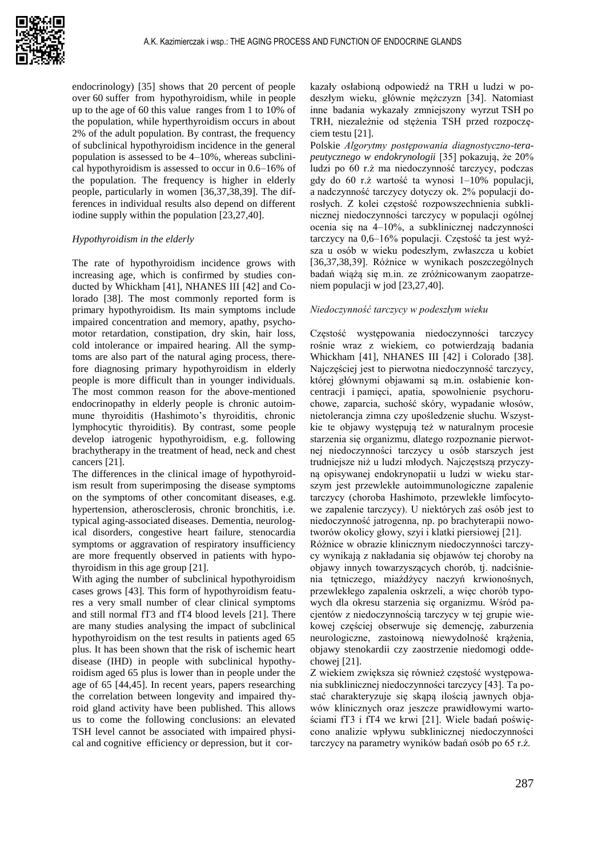

endocrinology) [35] shows that 20 percent of people over 60 suffer from hypothyroidism, while in people up to the age of 60 this value ranges from 1 to 10% of the population, while hyperthyroidism occurs in about 2% of the adult population. By contrast, the frequency of subclinical hypothyroidism incidence in the general population is assessed to be 4–10%, whereas subclinical hypothyroidism is assessed to occur in 0.6–16% of the population. The frequency is higher in elderly people, particularly in women [36,37,38,39]. The differences in individual results also depend on different iodine supply within the population [23,27,40].

## *Hypothyroidism in the elderly*

The rate of hypothyroidism incidence grows with increasing age, which is confirmed by studies conducted by Whickham [41], NHANES III [42] and Colorado [38]. The most commonly reported form is primary hypothyroidism. Its main symptoms include impaired concentration and memory, apathy, psychomotor retardation, constipation, dry skin, hair loss, cold intolerance or impaired hearing. All the symptoms are also part of the natural aging process, therefore diagnosing primary hypothyroidism in elderly people is more difficult than in younger individuals. The most common reason for the above-mentioned endocrinopathy in elderly people is chronic autoimmune thyroiditis (Hashimoto's thyroiditis, chronic lymphocytic thyroiditis). By contrast, some people develop iatrogenic hypothyroidism, e.g. following brachytherapy in the treatment of head, neck and chest cancers [21].

The differences in the clinical image of hypothyroidism result from superimposing the disease symptoms on the symptoms of other concomitant diseases, e.g. hypertension, atherosclerosis, chronic bronchitis, i.e. typical aging-associated diseases. Dementia, neurological disorders, congestive heart failure, stenocardia symptoms or aggravation of respiratory insufficiency are more frequently observed in patients with hypothyroidism in this age group [21].

With aging the number of subclinical hypothyroidism cases grows [43]. This form of hypothyroidism features a very small number of clear clinical symptoms and still normal fT3 and fT4 blood levels [21]. There are many studies analysing the impact of subclinical hypothyroidism on the test results in patients aged 65 plus. It has been shown that the risk of ischemic heart disease (IHD) in people with subclinical hypothyroidism aged 65 plus is lower than in people under the age of 65 [44,45]. In recent years, papers researching the correlation between longevity and impaired thyroid gland activity have been published. This allows us to come the following conclusions: an elevated TSH level cannot be associated with impaired physical and cognitive efficiency or depression, but it corkazały osłabioną odpowiedź na TRH u ludzi w podeszłym wieku, głównie mężczyzn [34]. Natomiast inne badania wykazały zmniejszony wyrzut TSH po TRH, niezależnie od stężenia TSH przed rozpoczęciem testu [21].

Polskie *Algorytmy postępowania diagnostyczno-terapeutycznego w endokrynologii* [35] pokazują, że 20% ludzi po 60 r.ż ma niedoczynność tarczycy, podczas gdy do 60 r.ż wartość ta wynosi 1–10% populacji, a nadczynność tarczycy dotyczy ok. 2% populacji dorosłych. Z kolei częstość rozpowszechnienia subklinicznej niedoczynności tarczycy w populacji ogólnej ocenia się na 4–10%, a subklinicznej nadczynności tarczycy na 0,6–16% populacji. Częstość ta jest wyższa u osób w wieku podeszłym, zwłaszcza u kobiet [36,37,38,39]. Różnice w wynikach poszczególnych badań wiążą się m.in. ze zróżnicowanym zaopatrzeniem populacji w jod [23,27,40].

#### *Niedoczynność tarczycy w podeszłym wieku*

Częstość występowania niedoczynności tarczycy rośnie wraz z wiekiem, co potwierdzają badania Whickham [41], NHANES III [42] i Colorado [38]. Najczęściej jest to pierwotna niedoczynność tarczycy, której głównymi objawami są m.in. osłabienie koncentracji i pamięci, apatia, spowolnienie psychoruchowe, zaparcia, suchość skóry, wypadanie włosów, nietolerancja zimna czy upośledzenie słuchu. Wszystkie te objawy występują też w naturalnym procesie starzenia się organizmu, dlatego rozpoznanie pierwotnej niedoczynności tarczycy u osób starszych jest trudniejsze niż u ludzi młodych. Najczęstszą przyczyną opisywanej endokrynopatii u ludzi w wieku starszym jest przewlekłe autoimmunologiczne zapalenie tarczycy (choroba Hashimoto, przewlekłe limfocytowe zapalenie tarczycy). U niektórych zaś osób jest to niedoczynność jatrogenna, np. po brachyterapii nowotworów okolicy głowy, szyi i klatki piersiowej [21].

Różnice w obrazie klinicznym niedoczynności tarczycy wynikają z nakładania się objawów tej choroby na objawy innych towarzyszących chorób, tj. nadciśnienia tętniczego, miażdżycy naczyń krwionośnych, przewlekłego zapalenia oskrzeli, a więc chorób typowych dla okresu starzenia się organizmu. Wśród pacjentów z niedoczynnością tarczycy w tej grupie wiekowej częściej obserwuje się demencję, zaburzenia neurologiczne, zastoinową niewydolność krążenia, objawy stenokardii czy zaostrzenie niedomogi oddechowej [21].

Z wiekiem zwiększa się również częstość występowania subklinicznej niedoczynności tarczycy [43]. Ta postać charakteryzuje się skąpą ilością jawnych objawów klinicznych oraz jeszcze prawidłowymi wartościami fT3 i fT4 we krwi [21]. Wiele badań poświęcono analizie wpływu subklinicznej niedoczynności tarczycy na parametry wyników badań osób po 65 r.ż.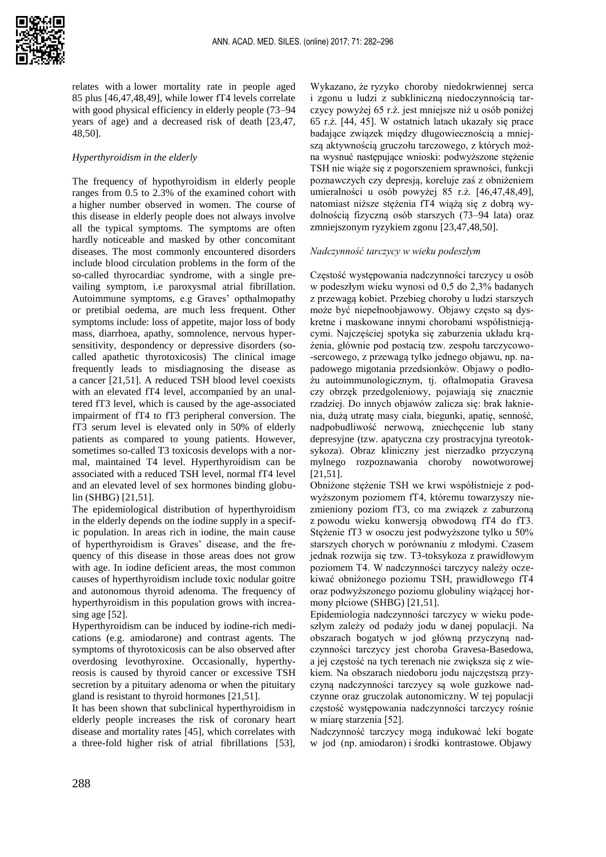

relates with a lower mortality rate in people aged 85 plus [46,47,48,49], while lower fT4 levels correlate with good physical efficiency in elderly people (73–94 years of age) and a decreased risk of death [23,47, 48,50].

# *Hyperthyroidism in the elderly*

The frequency of hypothyroidism in elderly people ranges from 0.5 to 2.3% of the examined cohort with a higher number observed in women. The course of this disease in elderly people does not always involve all the typical symptoms. The symptoms are often hardly noticeable and masked by other concomitant diseases. The most commonly encountered disorders include blood circulation problems in the form of the so-called thyrocardiac syndrome, with a single prevailing symptom, i.e paroxysmal atrial fibrillation. Autoimmune symptoms, e.g Graves' opthalmopathy or pretibial oedema, are much less frequent. Other symptoms include: loss of appetite, major loss of body mass, diarrhoea, apathy, somnolence, nervous hypersensitivity, despondency or depressive disorders (socalled apathetic thyrotoxicosis) The clinical image frequently leads to misdiagnosing the disease as a cancer [21,51]. A reduced TSH blood level coexists with an elevated fT4 level, accompanied by an unaltered fT3 level, which is caused by the age-associated impairment of fT4 to fT3 peripheral conversion. The fT3 serum level is elevated only in 50% of elderly patients as compared to young patients. However, sometimes so-called T3 toxicosis develops with a normal, maintained T4 level. Hyperthyroidism can be associated with a reduced TSH level, normal fT4 level and an elevated level of sex hormones binding globulin (SHBG) [21,51].

The epidemiological distribution of hyperthyroidism in the elderly depends on the iodine supply in a specific population. In areas rich in iodine, the main cause of hyperthyroidism is Graves' disease, and the frequency of this disease in those areas does not grow with age. In iodine deficient areas, the most common causes of hyperthyroidism include toxic nodular goitre and autonomous thyroid adenoma. The frequency of hyperthyroidism in this population grows with increasing age [52].

Hyperthyroidism can be induced by iodine-rich medications (e.g. amiodarone) and contrast agents. The symptoms of thyrotoxicosis can be also observed after overdosing levothyroxine. Occasionally, hyperthyreosis is caused by thyroid cancer or excessive TSH secretion by a pituitary adenoma or when the pituitary gland is resistant to thyroid hormones [21,51].

It has been shown that subclinical hyperthyroidism in elderly people increases the risk of coronary heart disease and mortality rates [45], which correlates with a three-fold higher risk of atrial fibrillations [53],

Wykazano, że ryzyko choroby niedokrwiennej serca i zgonu u ludzi z subkliniczną niedoczynnością tarczycy powyżej 65 r.ż. jest mniejsze niż u osób poniżej 65 r.ż. [44, 45]. W ostatnich latach ukazały się prace badające związek między długowiecznością a mniejszą aktywnością gruczołu tarczowego, z których można wysnuć następujące wnioski: podwyższone stężenie TSH nie wiąże się z pogorszeniem sprawności, funkcji poznawczych czy depresją, koreluje zaś z obniżeniem umieralności u osób powyżej 85 r.ż. [46,47,48,49], natomiast niższe stężenia fT4 wiążą się z dobrą wydolnością fizyczną osób starszych (73–94 lata) oraz zmniejszonym ryzykiem zgonu [23,47,48,50].

# *Nadczynność tarczycy w wieku podeszłym*

Częstość występowania nadczynności tarczycy u osób w podeszłym wieku wynosi od 0,5 do 2,3% badanych z przewagą kobiet. Przebieg choroby u ludzi starszych może być niepełnoobjawowy. Objawy często są dyskretne i maskowane innymi chorobami współistniejącymi. Najczęściej spotyka się zaburzenia układu krążenia, głównie pod postacią tzw. zespołu tarczycowo- -sercowego, z przewagą tylko jednego objawu, np. napadowego migotania przedsionków. Objawy o podłożu autoimmunologicznym, tj. oftalmopatia Gravesa czy obrzęk przedgoleniowy, pojawiają się znacznie rzadziej. Do innych objawów zalicza się: brak łaknienia, dużą utratę masy ciała, biegunki, apatię, senność, nadpobudliwość nerwową, zniechęcenie lub stany depresyjne (tzw. apatyczna czy prostracyjna tyreotoksykoza). Obraz kliniczny jest nierzadko przyczyną mylnego rozpoznawania choroby nowotworowej [21,51].

Obniżone stężenie TSH we krwi współistnieje z podwyższonym poziomem fT4, któremu towarzyszy niezmieniony poziom fT3, co ma związek z zaburzoną z powodu wieku konwersją obwodową fT4 do fT3. Stężenie fT3 w osoczu jest podwyższone tylko u 50% starszych chorych w porównaniu z młodymi. Czasem jednak rozwija się tzw. T3-toksykoza z prawidłowym poziomem T4. W nadczynności tarczycy należy oczekiwać obniżonego poziomu TSH, prawidłowego fT4 oraz podwyższonego poziomu globuliny wiążącej hormony płciowe (SHBG) [21,51].

Epidemiologia nadczynności tarczycy w wieku podeszłym zależy od podaży jodu w danej populacji. Na obszarach bogatych w jod główną przyczyną nadczynności tarczycy jest choroba Gravesa-Basedowa, a jej częstość na tych terenach nie zwiększa się z wiekiem. Na obszarach niedoboru jodu najczęstszą przyczyną nadczynności tarczycy są wole guzkowe nadczynne oraz gruczolak autonomiczny. W tej populacji częstość występowania nadczynności tarczycy rośnie w miarę starzenia [52].

Nadczynność tarczycy mogą indukować leki bogate w jod (np. amiodaron) i środki kontrastowe. Objawy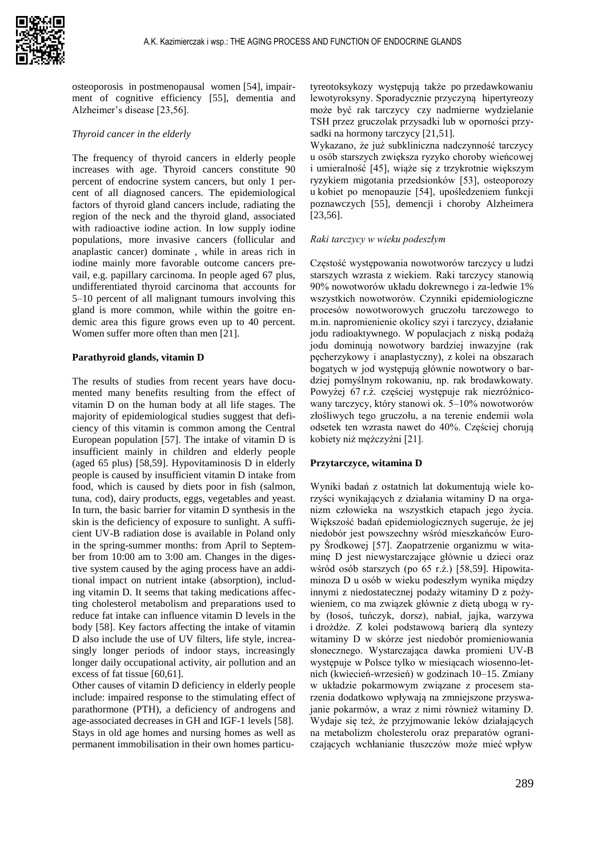osteoporosis in postmenopausal women [54], impairment of cognitive efficiency [55], dementia and Alzheimer's disease [23,56].

## *Thyroid cancer in the elderly*

The frequency of thyroid cancers in elderly people increases with age. Thyroid cancers constitute 90 percent of endocrine system cancers, but only 1 percent of all diagnosed cancers. The epidemiological factors of thyroid gland cancers include, radiating the region of the neck and the thyroid gland, associated with radioactive iodine action. In low supply iodine populations, more invasive cancers (follicular and anaplastic cancer) dominate , while in areas rich in iodine mainly more favorable outcome cancers prevail, e.g. papillary carcinoma. In people aged 67 plus, undifferentiated thyroid carcinoma that accounts for 5–10 percent of all malignant tumours involving this gland is more common, while within the goitre endemic area this figure grows even up to 40 percent. Women suffer more often than men [21].

### **Parathyroid glands, vitamin D**

The results of studies from recent years have documented many benefits resulting from the effect of vitamin D on the human body at all life stages. The majority of epidemiological studies suggest that deficiency of this vitamin is common among the Central European population [57]. The intake of vitamin D is insufficient mainly in children and elderly people (aged 65 plus) [58,59]. Hypovitaminosis D in elderly people is caused by insufficient vitamin D intake from food, which is caused by diets poor in fish (salmon, tuna, cod), dairy products, eggs, vegetables and yeast. In turn, the basic barrier for vitamin D synthesis in the skin is the deficiency of exposure to sunlight. A sufficient UV-B radiation dose is available in Poland only in the spring-summer months: from April to September from 10:00 am to 3:00 am. Changes in the digestive system caused by the aging process have an additional impact on nutrient intake (absorption), including vitamin D. It seems that taking medications affecting cholesterol metabolism and preparations used to reduce fat intake can influence vitamin D levels in the body [58]. Key factors affecting the intake of vitamin D also include the use of UV filters, life style, increasingly longer periods of indoor stays, increasingly longer daily occupational activity, air pollution and an excess of fat tissue [60,61].

Other causes of vitamin D deficiency in elderly people include: impaired response to the stimulating effect of parathormone (PTH), a deficiency of androgens and age-associated decreases in GH and IGF-1 levels [58]. Stays in old age homes and nursing homes as well as permanent immobilisation in their own homes particu-

tyreotoksykozy występują także po przedawkowaniu lewotyroksyny. Sporadycznie przyczyną hipertyreozy może być rak tarczycy czy nadmierne wydzielanie TSH przez gruczolak przysadki lub w oporności przysadki na hormony tarczycy [21,51].

Wykazano, że już subkliniczna nadczynność tarczycy u osób starszych zwiększa ryzyko choroby wieńcowej i umieralność [45], wiąże się z trzykrotnie większym ryzykiem migotania przedsionków [53], osteoporozy u kobiet po menopauzie [54], upośledzeniem funkcji poznawczych [55], demencji i choroby Alzheimera [23,56].

#### *Raki tarczycy w wieku podeszłym*

Częstość występowania nowotworów tarczycy u ludzi starszych wzrasta z wiekiem. Raki tarczycy stanowią 90% nowotworów układu dokrewnego i za-ledwie 1% wszystkich nowotworów. Czynniki epidemiologiczne procesów nowotworowych gruczołu tarczowego to m.in. napromienienie okolicy szyi i tarczycy, działanie jodu radioaktywnego. W populacjach z niską podażą jodu dominują nowotwory bardziej inwazyjne (rak pęcherzykowy i anaplastyczny), z kolei na obszarach bogatych w jod występują głównie nowotwory o bardziej pomyślnym rokowaniu, np. rak brodawkowaty. Powyżej 67 r.ż. częściej występuje rak niezróżnicowany tarczycy, który stanowi ok. 5–10% nowotworów złośliwych tego gruczołu, a na terenie endemii wola odsetek ten wzrasta nawet do 40%. Częściej chorują kobiety niż mężczyźni [21].

#### **Przytarczyce, witamina D**

Wyniki badań z ostatnich lat dokumentują wiele korzyści wynikających z działania witaminy D na organizm człowieka na wszystkich etapach jego życia. Większość badań epidemiologicznych sugeruje, że jej niedobór jest powszechny wśród mieszkańców Europy Środkowej [57]. Zaopatrzenie organizmu w witaminę D jest niewystarczające głównie u dzieci oraz wśród osób starszych (po 65 r.ż.) [58,59]. Hipowitaminoza D u osób w wieku podeszłym wynika między innymi z niedostatecznej podaży witaminy D z pożywieniem, co ma związek głównie z dietą ubogą w ryby (łosoś, tuńczyk, dorsz), nabiał, jajka, warzywa i drożdże. Z kolei podstawową barierą dla syntezy witaminy D w skórze jest niedobór promieniowania słonecznego. Wystarczająca dawka promieni UV-B występuje w Polsce tylko w miesiącach wiosenno-letnich (kwiecień-wrzesień) w godzinach 10–15. Zmiany w układzie pokarmowym związane z procesem starzenia dodatkowo wpływają na zmniejszone przyswajanie pokarmów, a wraz z nimi również witaminy D. Wydaje się też, że przyjmowanie leków działających na metabolizm cholesterolu oraz preparatów ograniczających wchłanianie tłuszczów może mieć wpływ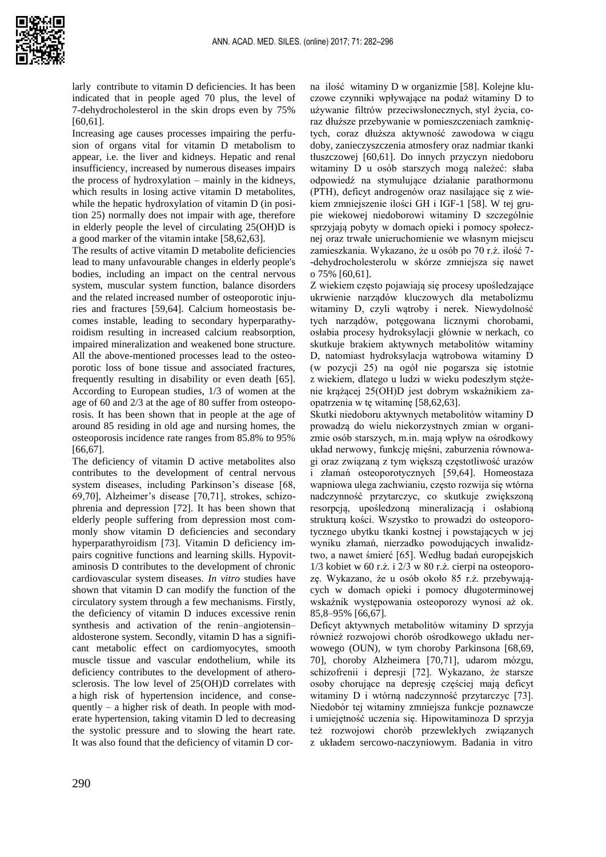

larly contribute to vitamin D deficiencies. It has been indicated that in people aged 70 plus, the level of 7-dehydrocholesterol in the skin drops even by 75% [60,61].

Increasing age causes processes impairing the perfusion of organs vital for vitamin D metabolism to appear, i.e. the liver and kidneys. Hepatic and renal insufficiency, increased by numerous diseases impairs the process of hydroxylation – mainly in the kidneys, which results in losing active vitamin D metabolites, while the hepatic hydroxylation of vitamin D (in position 25) normally does not impair with age, therefore in elderly people the level of circulating 25(OH)D is a good marker of the vitamin intake [58,62,63].

The results of active vitamin D metabolite deficiencies lead to many unfavourable changes in elderly people's bodies, including an impact on the central nervous system, muscular system function, balance disorders and the related increased number of osteoporotic injuries and fractures [59,64]. Calcium homeostasis becomes instable, leading to secondary hyperparathyroidism resulting in increased calcium reabsorption, impaired mineralization and weakened bone structure. All the above-mentioned processes lead to the osteoporotic loss of bone tissue and associated fractures, frequently resulting in disability or even death [65]. According to European studies, 1/3 of women at the age of 60 and 2/3 at the age of 80 suffer from osteoporosis. It has been shown that in people at the age of around 85 residing in old age and nursing homes, the osteoporosis incidence rate ranges from 85.8% to 95% [66,67].

The deficiency of vitamin D active metabolites also contributes to the development of central nervous system diseases, including Parkinson's disease [68, 69,70], Alzheimer's disease [70,71], strokes, schizophrenia and depression [72]. It has been shown that elderly people suffering from depression most commonly show vitamin D deficiencies and secondary hyperparathyroidism [73]. Vitamin D deficiency impairs cognitive functions and learning skills. Hypovitaminosis D contributes to the development of chronic cardiovascular system diseases. *In vitro* studies have shown that vitamin D can modify the function of the circulatory system through a few mechanisms. Firstly, the deficiency of vitamin D induces excessive renin synthesis and activation of the renin–angiotensin– aldosterone system. Secondly, vitamin D has a significant metabolic effect on cardiomyocytes, smooth muscle tissue and vascular endothelium, while its deficiency contributes to the development of atherosclerosis. The low level of 25(OH)D correlates with a high risk of hypertension incidence, and consequently – a higher risk of death. In people with moderate hypertension, taking vitamin D led to decreasing the systolic pressure and to slowing the heart rate. It was also found that the deficiency of vitamin D cor-

na ilość witaminy D w organizmie [58]. Kolejne kluczowe czynniki wpływające na podaż witaminy D to używanie filtrów przeciwsłonecznych, styl życia, coraz dłuższe przebywanie w pomieszczeniach zamkniętych, coraz dłuższa aktywność zawodowa w ciągu doby, zanieczyszczenia atmosfery oraz nadmiar tkanki tłuszczowej [60,61]. Do innych przyczyn niedoboru witaminy D u osób starszych mogą należeć: słaba odpowiedź na stymulujące działanie parathormonu (PTH), deficyt androgenów oraz nasilające się z wiekiem zmniejszenie ilości GH i IGF-1 [58]. W tej grupie wiekowej niedoborowi witaminy D szczególnie sprzyjają pobyty w domach opieki i pomocy społecznej oraz trwałe unieruchomienie we własnym miejscu zamieszkania. Wykazano, że u osób po 70 r.ż. ilość 7- -dehydrocholesterolu w skórze zmniejsza się nawet o 75% [60,61].

Z wiekiem często pojawiają się procesy upośledzające ukrwienie narządów kluczowych dla metabolizmu witaminy D, czyli wątroby i nerek. Niewydolność tych narządów, potęgowana licznymi chorobami, osłabia procesy hydroksylacji głównie w nerkach, co skutkuje brakiem aktywnych metabolitów witaminy D, natomiast hydroksylacja wątrobowa witaminy D (w pozycji 25) na ogół nie pogarsza się istotnie z wiekiem, dlatego u ludzi w wieku podeszłym stężenie krążącej 25(OH)D jest dobrym wskaźnikiem zaopatrzenia w tę witaminę [58,62,63].

Skutki niedoboru aktywnych metabolitów witaminy D prowadzą do wielu niekorzystnych zmian w organizmie osób starszych, m.in. mają wpływ na ośrodkowy układ nerwowy, funkcję mięśni, zaburzenia równowagi oraz związaną z tym większą częstotliwość urazów i złamań osteoporotycznych [59,64]. Homeostaza wapniowa ulega zachwianiu, często rozwija się wtórna nadczynność przytarczyc, co skutkuje zwiększoną resorpcją, upośledzoną mineralizacją i osłabioną strukturą kości. Wszystko to prowadzi do osteoporotycznego ubytku tkanki kostnej i powstających w jej wyniku złamań, nierzadko powodujących inwalidztwo, a nawet śmierć [65]. Według badań europejskich 1/3 kobiet w 60 r.ż. i 2/3 w 80 r.ż. cierpi na osteoporozę. Wykazano, że u osób około 85 r.ż. przebywających w domach opieki i pomocy długoterminowej wskaźnik występowania osteoporozy wynosi aż ok. 85,8–95% [66,67].

Deficyt aktywnych metabolitów witaminy D sprzyja również rozwojowi chorób ośrodkowego układu nerwowego (OUN), w tym choroby Parkinsona [68,69, 70], choroby Alzheimera [70,71], udarom mózgu, schizofrenii i depresji [72]. Wykazano, że starsze osoby chorujące na depresję częściej mają deficyt witaminy D i wtórną nadczynność przytarczyc [73]. Niedobór tej witaminy zmniejsza funkcje poznawcze i umiejętność uczenia się. Hipowitaminoza D sprzyja też rozwojowi chorób przewlekłych związanych z układem sercowo-naczyniowym. Badania in vitro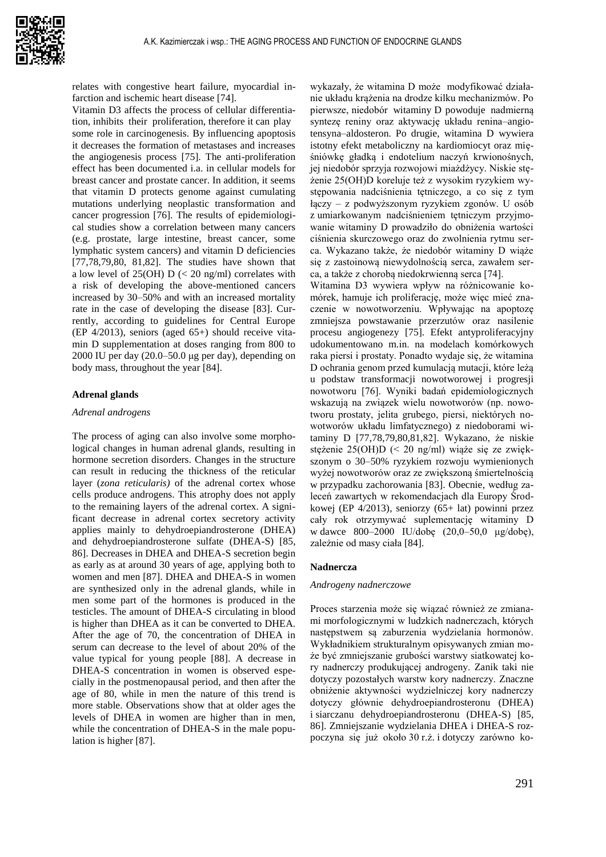

relates with congestive heart failure, myocardial infarction and ischemic heart disease [74].

Vitamin D3 affects the process of cellular differentiation, inhibits their proliferation, therefore it can play some role in carcinogenesis. By influencing apoptosis it decreases the formation of metastases and increases the angiogenesis process [75]. The anti-proliferation effect has been documented i.a. in cellular models for breast cancer and prostate cancer. In addition, it seems that vitamin D protects genome against cumulating mutations underlying neoplastic transformation and cancer progression [76]. The results of epidemiological studies show a correlation between many cancers (e.g. prostate, large intestine, breast cancer, some lymphatic system cancers) and vitamin D deficiencies [77,78,79,80, 81,82]. The studies have shown that a low level of  $25(OH) D \leq 20$  ng/ml) correlates with a risk of developing the above-mentioned cancers increased by 30–50% and with an increased mortality rate in the case of developing the disease [83]. Currently, according to guidelines for Central Europe (EP 4/2013), seniors (aged 65+) should receive vitamin D supplementation at doses ranging from 800 to 2000 IU per day (20.0–50.0 μg per day), depending on body mass, throughout the year [84].

## **Adrenal glands**

#### *Adrenal androgens*

The process of aging can also involve some morphological changes in human adrenal glands, resulting in hormone secretion disorders. Changes in the structure can result in reducing the thickness of the reticular layer (*zona reticularis)* of the adrenal cortex whose cells produce androgens. This atrophy does not apply to the remaining layers of the adrenal cortex. A significant decrease in adrenal cortex secretory activity applies mainly to dehydroepiandrosterone (DHEA) and dehydroepiandrosterone sulfate (DHEA-S) [85, 86]. Decreases in DHEA and DHEA-S secretion begin as early as at around 30 years of age, applying both to women and men [87]. DHEA and DHEA-S in women are synthesized only in the adrenal glands, while in men some part of the hormones is produced in the testicles. The amount of DHEA-S circulating in blood is higher than DHEA as it can be converted to DHEA. After the age of 70, the concentration of DHEA in serum can decrease to the level of about 20% of the value typical for young people [88]. A decrease in DHEA-S concentration in women is observed especially in the postmenopausal period, and then after the age of 80, while in men the nature of this trend is more stable. Observations show that at older ages the levels of DHEA in women are higher than in men, while the concentration of DHEA-S in the male population is higher [87].

wykazały, że witamina D może modyfikować działanie układu krążenia na drodze kilku mechanizmów. Po pierwsze, niedobór witaminy D powoduje nadmierną syntezę reniny oraz aktywację układu renina–angiotensyna–aldosteron. Po drugie, witamina D wywiera istotny efekt metaboliczny na kardiomiocyt oraz mięśniówkę gładką i endotelium naczyń krwionośnych, jej niedobór sprzyja rozwojowi miażdżycy. Niskie stężenie 25(OH)D koreluje też z wysokim ryzykiem występowania nadciśnienia tętniczego, a co się z tym łączy – z podwyższonym ryzykiem zgonów. U osób z umiarkowanym nadciśnieniem tętniczym przyjmowanie witaminy D prowadziło do obniżenia wartości ciśnienia skurczowego oraz do zwolnienia rytmu serca. Wykazano także, że niedobór witaminy D wiąże się z zastoinową niewydolnością serca, zawałem serca, a także z chorobą niedokrwienną serca [74].

Witamina D3 wywiera wpływ na różnicowanie komórek, hamuje ich proliferację, może więc mieć znaczenie w nowotworzeniu. Wpływając na apoptozę zmniejsza powstawanie przerzutów oraz nasilenie procesu angiogenezy [75]. Efekt antyproliferacyjny udokumentowano m.in. na modelach komórkowych raka piersi i prostaty. Ponadto wydaje się, że witamina D ochrania genom przed kumulacją mutacji, które leżą u podstaw transformacji nowotworowej i progresji nowotworu [76]. Wyniki badań epidemiologicznych wskazują na związek wielu nowotworów (np. nowotworu prostaty, jelita grubego, piersi, niektórych nowotworów układu limfatycznego) z niedoborami witaminy D [77,78,79,80,81,82]. Wykazano, że niskie stężenie 25(OH)D (< 20 ng/ml) wiąże się ze zwiększonym o 30–50% ryzykiem rozwoju wymienionych wyżej nowotworów oraz ze zwiększoną śmiertelnością w przypadku zachorowania [83]. Obecnie, według zaleceń zawartych w rekomendacjach dla Europy Środkowej (EP 4/2013), seniorzy (65+ lat) powinni przez cały rok otrzymywać suplementację witaminy D w dawce 800–2000 IU/dobę (20,0–50,0 μg/dobę), zależnie od masy ciała [84].

## **Nadnercza**

#### *Androgeny nadnerczowe*

Proces starzenia może się wiązać również ze zmianami morfologicznymi w ludzkich nadnerczach, których następstwem są zaburzenia wydzielania hormonów. Wykładnikiem strukturalnym opisywanych zmian może być zmniejszanie grubości warstwy siatkowatej kory nadnerczy produkującej androgeny. Zanik taki nie dotyczy pozostałych warstw kory nadnerczy. Znaczne obniżenie aktywności wydzielniczej kory nadnerczy dotyczy głównie dehydroepiandrosteronu (DHEA) i siarczanu dehydroepiandrosteronu (DHEA-S) [85, 86]. Zmniejszanie wydzielania DHEA i DHEA-S rozpoczyna się już około 30 r.ż. i dotyczy zarówno ko-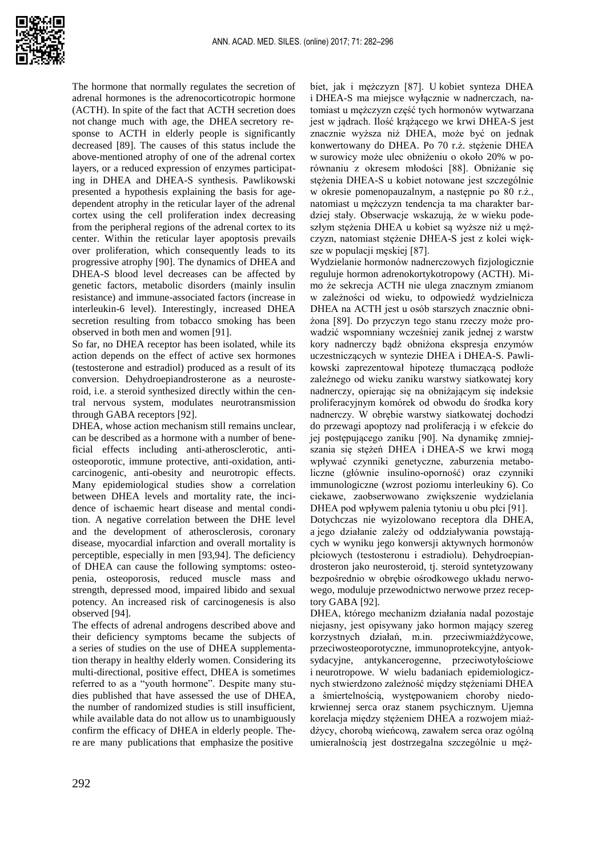

The hormone that normally regulates the secretion of adrenal hormones is the adrenocorticotropic hormone (ACTH). In spite of the fact that ACTH secretion does not change much with age, the DHEA secretory response to ACTH in elderly people is significantly decreased [89]. The causes of this status include the above-mentioned atrophy of one of the adrenal cortex layers, or a reduced expression of enzymes participating in DHEA and DHEA-S synthesis. Pawlikowski presented a hypothesis explaining the basis for agedependent atrophy in the reticular layer of the adrenal cortex using the cell proliferation index decreasing from the peripheral regions of the adrenal cortex to its center. Within the reticular layer apoptosis prevails over proliferation, which consequently leads to its progressive atrophy [90]. The dynamics of DHEA and DHEA-S blood level decreases can be affected by genetic factors, metabolic disorders (mainly insulin resistance) and immune-associated factors (increase in interleukin-6 level). Interestingly, increased DHEA secretion resulting from tobacco smoking has been observed in both men and women [91].

So far, no DHEA receptor has been isolated, while its action depends on the effect of active sex hormones (testosterone and estradiol) produced as a result of its conversion. Dehydroepiandrosterone as a neurosteroid, i.e. a steroid synthesized directly within the central nervous system, modulates neurotransmission through GABA receptors [92].

DHEA, whose action mechanism still remains unclear, can be described as a hormone with a number of beneficial effects including anti-atherosclerotic, antiosteoporotic, immune protective, anti-oxidation, anticarcinogenic, anti-obesity and neurotropic effects. Many epidemiological studies show a correlation between DHEA levels and mortality rate, the incidence of ischaemic heart disease and mental condition. A negative correlation between the DHE level and the development of atherosclerosis, coronary disease, myocardial infarction and overall mortality is perceptible, especially in men [93,94]. The deficiency of DHEA can cause the following symptoms: osteopenia, osteoporosis, reduced muscle mass and strength, depressed mood, impaired libido and sexual potency. An increased risk of carcinogenesis is also observed [94].

The effects of adrenal androgens described above and their deficiency symptoms became the subjects of a series of studies on the use of DHEA supplementation therapy in healthy elderly women. Considering its multi-directional, positive effect, DHEA is sometimes referred to as a "youth hormone". Despite many studies published that have assessed the use of DHEA, the number of randomized studies is still insufficient, while available data do not allow us to unambiguously confirm the efficacy of DHEA in elderly people. There are many publications that emphasize the positive

biet, jak i mężczyzn [87]. U kobiet synteza DHEA i DHEA-S ma miejsce wyłącznie w nadnerczach, natomiast u mężczyzn część tych hormonów wytwarzana jest w jądrach. Ilość krążącego we krwi DHEA-S jest znacznie wyższa niż DHEA, może być on jednak konwertowany do DHEA. Po 70 r.ż. stężenie DHEA w surowicy może ulec obniżeniu o około 20% w porównaniu z okresem młodości [88]. Obniżanie się stężenia DHEA-S u kobiet notowane jest szczególnie w okresie pomenopauzalnym, a następnie po 80 r.ż., natomiast u mężczyzn tendencja ta ma charakter bardziej stały. Obserwacje wskazują, że w wieku podeszłym stężenia DHEA u kobiet są wyższe niż u mężczyzn, natomiast stężenie DHEA-S jest z kolei większe w populacji męskiej [87].

Wydzielanie hormonów nadnerczowych fizjologicznie reguluje hormon adrenokortykotropowy (ACTH). Mimo że sekrecja ACTH nie ulega znacznym zmianom w zależności od wieku, to odpowiedź wydzielnicza DHEA na ACTH jest u osób starszych znacznie obniżona [89]. Do przyczyn tego stanu rzeczy może prowadzić wspomniany wcześniej zanik jednej z warstw kory nadnerczy bądź obniżona ekspresja enzymów uczestniczących w syntezie DHEA i DHEA-S. Pawlikowski zaprezentował hipotezę tłumaczącą podłoże zależnego od wieku zaniku warstwy siatkowatej kory nadnerczy, opierając się na obniżającym się indeksie proliferacyjnym komórek od obwodu do środka kory nadnerczy. W obrębie warstwy siatkowatej dochodzi do przewagi apoptozy nad proliferacją i w efekcie do jej postępującego zaniku [90]. Na dynamikę zmniejszania się stężeń DHEA i DHEA-S we krwi mogą wpływać czynniki genetyczne, zaburzenia metaboliczne (głównie insulino-oporność) oraz czynniki immunologiczne (wzrost poziomu interleukiny 6). Co ciekawe, zaobserwowano zwiększenie wydzielania DHEA pod wpływem palenia tytoniu u obu płci [91].

Dotychczas nie wyizolowano receptora dla DHEA, a jego działanie zależy od oddziaływania powstających w wyniku jego konwersji aktywnych hormonów płciowych (testosteronu i estradiolu). Dehydroepiandrosteron jako neurosteroid, tj. steroid syntetyzowany bezpośrednio w obrębie ośrodkowego układu nerwowego, moduluje przewodnictwo nerwowe przez receptory GABA [92].

DHEA, którego mechanizm działania nadal pozostaje niejasny, jest opisywany jako hormon mający szereg korzystnych działań, m.in. przeciwmiażdżycowe, przeciwosteoporotyczne, immunoprotekcyjne, antyoksydacyjne, antykancerogenne, przeciwotyłościowe i neurotropowe. W wielu badaniach epidemiologicznych stwierdzono zależność między stężeniami DHEA a śmiertelnością, występowaniem choroby niedokrwiennej serca oraz stanem psychicznym. Ujemna korelacja między stężeniem DHEA a rozwojem miażdżycy, chorobą wieńcową, zawałem serca oraz ogólną umieralnością jest dostrzegalna szczególnie u męż-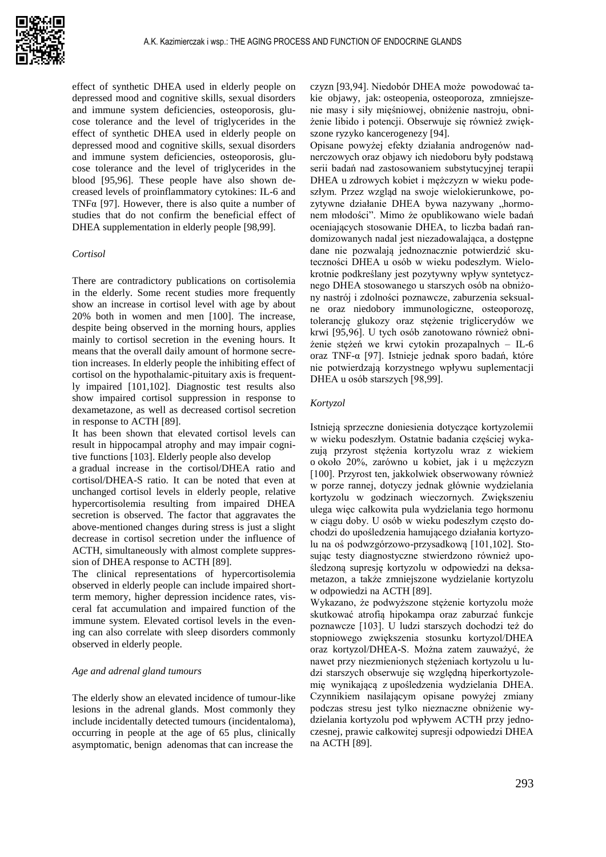

effect of synthetic DHEA used in elderly people on depressed mood and cognitive skills, sexual disorders and immune system deficiencies, osteoporosis, glucose tolerance and the level of triglycerides in the effect of synthetic DHEA used in elderly people on depressed mood and cognitive skills, sexual disorders and immune system deficiencies, osteoporosis, glucose tolerance and the level of triglycerides in the blood [95,96]. These people have also shown decreased levels of proinflammatory cytokines: IL-6 and TNFα [97]. However, there is also quite a number of studies that do not confirm the beneficial effect of DHEA supplementation in elderly people [98,99].

# *Cortisol*

There are contradictory publications on cortisolemia in the elderly. Some recent studies more frequently show an increase in cortisol level with age by about 20% both in women and men [100]. The increase, despite being observed in the morning hours, applies mainly to cortisol secretion in the evening hours. It means that the overall daily amount of hormone secretion increases. In elderly people the inhibiting effect of cortisol on the hypothalamic-pituitary axis is frequently impaired [101,102]. Diagnostic test results also show impaired cortisol suppression in response to dexametazone, as well as decreased cortisol secretion in response to ACTH [89].

It has been shown that elevated cortisol levels can result in hippocampal atrophy and may impair cognitive functions [103]. Elderly people also develop

a gradual increase in the cortisol/DHEA ratio and cortisol/DHEA-S ratio. It can be noted that even at unchanged cortisol levels in elderly people, relative hypercortisolemia resulting from impaired DHEA secretion is observed. The factor that aggravates the above-mentioned changes during stress is just a slight decrease in cortisol secretion under the influence of ACTH, simultaneously with almost complete suppression of DHEA response to ACTH [89].

The clinical representations of hypercortisolemia observed in elderly people can include impaired shortterm memory, higher depression incidence rates, visceral fat accumulation and impaired function of the immune system. Elevated cortisol levels in the evening can also correlate with sleep disorders commonly observed in elderly people.

#### *Age and adrenal gland tumours*

The elderly show an elevated incidence of tumour-like lesions in the adrenal glands. Most commonly they include incidentally detected tumours (incidentaloma), occurring in people at the age of 65 plus, clinically asymptomatic, benign adenomas that can increase the

czyzn [93,94]. Niedobór DHEA może powodować takie objawy, jak: osteopenia, osteoporoza, zmniejszenie masy i siły mięśniowej, obniżenie nastroju, obniżenie libido i potencji. Obserwuje się również zwiększone ryzyko kancerogenezy [94].

Opisane powyżej efekty działania androgenów nadnerczowych oraz objawy ich niedoboru były podstawą serii badań nad zastosowaniem substytucyjnej terapii DHEA u zdrowych kobiet i mężczyzn w wieku podeszłym. Przez wzgląd na swoje wielokierunkowe, pozytywne działanie DHEA bywa nazywany "hormonem młodości". Mimo że opublikowano wiele badań oceniających stosowanie DHEA, to liczba badań randomizowanych nadal jest niezadowalająca, a dostępne dane nie pozwalają jednoznacznie potwierdzić skuteczności DHEA u osób w wieku podeszłym. Wielokrotnie podkreślany jest pozytywny wpływ syntetycznego DHEA stosowanego u starszych osób na obniżony nastrój i zdolności poznawcze, zaburzenia seksualne oraz niedobory immunologiczne, osteoporozę, tolerancję glukozy oraz stężenie triglicerydów we krwi [95,96]. U tych osób zanotowano również obniżenie stężeń we krwi cytokin prozapalnych – IL-6 oraz TNF-α [97]. Istnieje jednak sporo badań, które nie potwierdzają korzystnego wpływu suplementacji DHEA u osób starszych [98,99].

### *Kortyzol*

Istnieją sprzeczne doniesienia dotyczące kortyzolemii w wieku podeszłym. Ostatnie badania częściej wykazują przyrost stężenia kortyzolu wraz z wiekiem o około 20%, zarówno u kobiet, jak i u mężczyzn [100]. Przyrost ten, jakkolwiek obserwowany również w porze rannej, dotyczy jednak głównie wydzielania kortyzolu w godzinach wieczornych. Zwiększeniu ulega więc całkowita pula wydzielania tego hormonu w ciągu doby. U osób w wieku podeszłym często dochodzi do upośledzenia hamującego działania kortyzolu na oś podwzgórzowo-przysadkową [101,102]. Stosując testy diagnostyczne stwierdzono również upośledzoną supresję kortyzolu w odpowiedzi na deksametazon, a także zmniejszone wydzielanie kortyzolu w odpowiedzi na ACTH [89].

Wykazano, że podwyższone stężenie kortyzolu może skutkować atrofią hipokampa oraz zaburzać funkcje poznawcze [103]. U ludzi starszych dochodzi też do stopniowego zwiększenia stosunku kortyzol/DHEA oraz kortyzol/DHEA-S. Można zatem zauważyć, że nawet przy niezmienionych stężeniach kortyzolu u ludzi starszych obserwuje się względną hiperkortyzolemię wynikającą z upośledzenia wydzielania DHEA. Czynnikiem nasilającym opisane powyżej zmiany podczas stresu jest tylko nieznaczne obniżenie wydzielania kortyzolu pod wpływem ACTH przy jednoczesnej, prawie całkowitej supresji odpowiedzi DHEA na ACTH [89].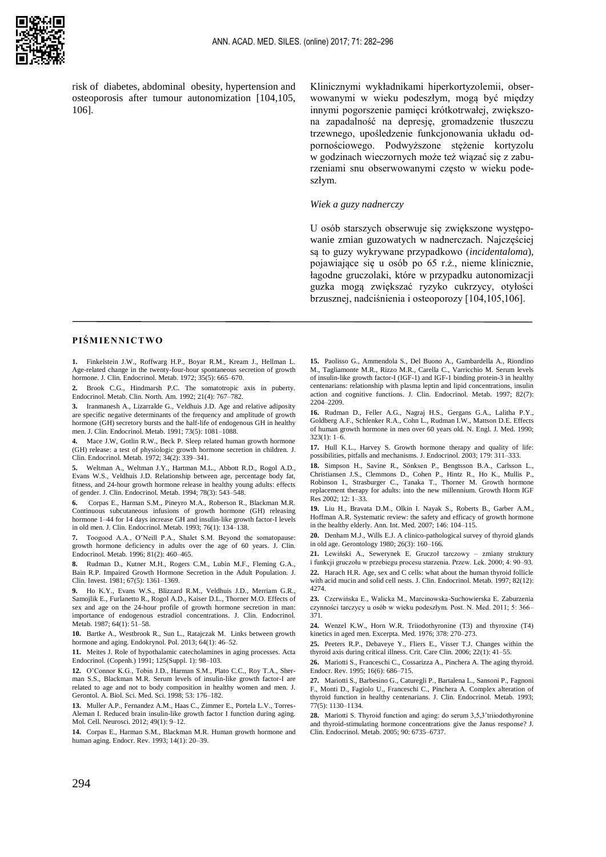

risk of diabetes, abdominal obesity, hypertension and osteoporosis after tumour autonomization [104,105, 106].

Klinicznymi wykładnikami hiperkortyzolemii, obserwowanymi w wieku podeszłym, mogą być między innymi pogorszenie pamięci krótkotrwałej, zwiększona zapadalność na depresję, gromadzenie tłuszczu trzewnego, upośledzenie funkcjonowania układu odpornościowego. Podwyższone stężenie kortyzolu w godzinach wieczornych może też wiązać się z zaburzeniami snu obserwowanymi często w wieku podeszłym.

#### *Wiek a guzy nadnerczy*

U osób starszych obserwuje się zwiększone występowanie zmian guzowatych w nadnerczach. Najczęściej są to guzy wykrywane przypadkowo (*incidentaloma*), pojawiające się u osób po 65 r.ż., nieme klinicznie, łagodne gruczolaki, które w przypadku autonomizacji guzka mogą zwiększać ryzyko cukrzycy, otyłości brzusznej, nadciśnienia i osteoporozy [104,105,106].

## **P IŚM IENN ICTWO**

**1.** Finkelstein J.W., Roffwarg H.P., Boyar R.M., Kream J., Hellman L. Age-related change in the twenty-four-hour spontaneous secretion of growth hormone. J. Clin. Endocrinol. Metab. 1972; 35(5): 665–670.

**2.** Brook C.G., Hindmarsh P.C. The somatotropic axis in puberty. Endocrinol. Metab. Clin. North. Am. 1992; 21(4): 767–782.

**3.** Iranmanesh A., Lizarralde G., Veldhuis J.D. Age and relative adiposity are specific negative determinants of the frequency and amplitude of growth hormone (GH) secretory bursts and the half-life of endogenous GH in healthy men. J. Clin. Endocrinol. Metab. 1991; 73(5): 1081-1088.

**4.** Mace J.W, Gotlin R.W., Beck P. Sleep related human growth hormone (GH) release: a test of physiologic growth hormone secretion in children. J. Clin. Endocrinol. Metab. 1972; 34(2): 339–341.

**5.** Weltman A., Weltman J.Y., Hartman M.L., [Abbott R.D.,](https://www.ncbi.nlm.nih.gov/pubmed/?term=Abbott%20RD%5BAuthor%5D&cauthor=true&cauthor_uid=8126124) [Rogol A.D.,](https://www.ncbi.nlm.nih.gov/pubmed/?term=Rogol%20AD%5BAuthor%5D&cauthor=true&cauthor_uid=8126124) [Evans W.S.](https://www.ncbi.nlm.nih.gov/pubmed/?term=Evans%20WS%5BAuthor%5D&cauthor=true&cauthor_uid=8126124), [Veldhuis J.D.](https://www.ncbi.nlm.nih.gov/pubmed/?term=Veldhuis%20JD%5BAuthor%5D&cauthor=true&cauthor_uid=8126124) Relationship between age, percentage body fat, fitness, and 24-hour growth hormone release in healthy young adults: effects of gender. J. Clin. Endocrinol. Metab. 1994; 78(3): 543–548.

**6.** Corpas E., Harman S.M., Pineyro M.A., Roberson R., Blackman M.R. Continuous subcutaneous infusions of growth hormone (GH) releasing hormone 1–44 for 14 days increase GH and insulin-like growth factor-I levels in old men. J. Clin. Endocrinol. Metab. 1993; 76(1): 134–138.

**7.** Toogood A.A., O'Neill P.A., Shalet S.M. Beyond the somatopause: growth hormone deficiency in adults over the age of 60 years. J. Clin. Endocrinol. Metab. 1996; 81(2): 460–465.

**8.** Rudman D., Kutner M.H., Rogers C.M., Lubin M.F., Fleming G.A., Bain R.P. Impaired Growth Hormone Secretion in the Adult Population. J. Clin. Invest. 1981; 67(5): 1361–1369.

**9.** Ho K.Y., Evans W.S., Blizzard R.M., [Veldhuis J.D.,](https://www.ncbi.nlm.nih.gov/pubmed/?term=Veldhuis%20JD%5BAuthor%5D&cauthor=true&cauthor_uid=3782436) [Merriam G.R.,](https://www.ncbi.nlm.nih.gov/pubmed/?term=Merriam%20GR%5BAuthor%5D&cauthor=true&cauthor_uid=3782436) [Samojlik E.,](https://www.ncbi.nlm.nih.gov/pubmed/?term=Samojlik%20E%5BAuthor%5D&cauthor=true&cauthor_uid=3782436) [Furlanetto R.](https://www.ncbi.nlm.nih.gov/pubmed/?term=Furlanetto%20R%5BAuthor%5D&cauthor=true&cauthor_uid=3782436)[, Rogol A.D.,](https://www.ncbi.nlm.nih.gov/pubmed/?term=Rogol%20AD%5BAuthor%5D&cauthor=true&cauthor_uid=3782436) [Kaiser D.L.,](https://www.ncbi.nlm.nih.gov/pubmed/?term=Kaiser%20DL%5BAuthor%5D&cauthor=true&cauthor_uid=3782436) [Thorner M.O.](https://www.ncbi.nlm.nih.gov/pubmed/?term=Thorner%20MO%5BAuthor%5D&cauthor=true&cauthor_uid=3782436) Effects of sex and age on the 24-hour profile of growth hormone secretion in man: importance of endogenous estradiol concentrations. J. Clin. Endocrinol. Metab. 1987; 64(1): 51–58.

**10.** Bartke A., Westbrook R., Sun L., Ratajczak M. Links between growth hormone and aging. Endokrynol. Pol. 2013; 64(1): 46-52.

**11.** Meites J. Role of hypothalamic catecholamines in aging processes. Acta Endocrinol. (Copenh.) 1991; 125(Suppl. 1): 98–103.

**12.** O'Connor K.G., Tobin J.D., Harman S.M.[, Plato C.C.,](https://www.ncbi.nlm.nih.gov/pubmed/?term=Plato%20CC%5BAuthor%5D&cauthor=true&cauthor_uid=9597048) [Roy T.A.,](https://www.ncbi.nlm.nih.gov/pubmed/?term=Roy%20TA%5BAuthor%5D&cauthor=true&cauthor_uid=9597048) [Sher](https://www.ncbi.nlm.nih.gov/pubmed/?term=Sherman%20SS%5BAuthor%5D&cauthor=true&cauthor_uid=9597048)[man S.S.,](https://www.ncbi.nlm.nih.gov/pubmed/?term=Sherman%20SS%5BAuthor%5D&cauthor=true&cauthor_uid=9597048) [Blackman M.R.](https://www.ncbi.nlm.nih.gov/pubmed/?term=Blackman%20MR%5BAuthor%5D&cauthor=true&cauthor_uid=9597048) Serum levels of insulin-like growth factor-I are related to age and not to body composition in healthy women and men. J. Gerontol. A. Biol. Sci. Med. Sci. 1998; 53: 176–182.

**13.** Muller A.P., Fernandez A.M., Haas C., Zimmer E., Portela L.V., Torres-Aleman I. Reduced brain insulin-like growth factor I function during aging. Mol. Cell. Neurosci. 2012; 49(1): 9–12.

**14.** Corpas E., Harman S.M., Blackman M.R. Human growth hormone and human aging[. Endocr. Rev. 1](http://www.ncbi.nlm.nih.gov/pubmed/8491152)993; 14(1): 20–39.

**15.** Paolisso G., Ammendola S., Del Buono A., [Gambardella A.](https://www.ncbi.nlm.nih.gov/pubmed/?term=Gambardella%20A%5BAuthor%5D&cauthor=true&cauthor_uid=9215295), [Riondino](https://www.ncbi.nlm.nih.gov/pubmed/?term=Riondino%20M%5BAuthor%5D&cauthor=true&cauthor_uid=9215295)  [M.,](https://www.ncbi.nlm.nih.gov/pubmed/?term=Riondino%20M%5BAuthor%5D&cauthor=true&cauthor_uid=9215295) [Tagliamonte M.R.,](https://www.ncbi.nlm.nih.gov/pubmed/?term=Tagliamonte%20MR%5BAuthor%5D&cauthor=true&cauthor_uid=9215295) [Rizzo M.R.,](https://www.ncbi.nlm.nih.gov/pubmed/?term=Rizzo%20MR%5BAuthor%5D&cauthor=true&cauthor_uid=9215295) [Carella C.,](https://www.ncbi.nlm.nih.gov/pubmed/?term=Carella%20C%5BAuthor%5D&cauthor=true&cauthor_uid=9215295) [Varricchio M.](https://www.ncbi.nlm.nih.gov/pubmed/?term=Varricchio%20M%5BAuthor%5D&cauthor=true&cauthor_uid=9215295) Serum levels of insulin-like growth factor-I (IGF-1) and IGF-1 binding protein-3 in healthy centenarians: relationship with plasma leptin and lipid concentrations, insulin action and cognitive functions. J. Clin. Endocrinol. Metab. 1997; 82(7): 2204–2209.

**16.** Rudman D., Feller A.G., Nagraj H.S., [Gergans G.A.,](https://www.ncbi.nlm.nih.gov/pubmed/?term=Gergans%20GA%5BAuthor%5D&cauthor=true&cauthor_uid=2355952) [Lalitha P.Y.,](https://www.ncbi.nlm.nih.gov/pubmed/?term=Lalitha%20PY%5BAuthor%5D&cauthor=true&cauthor_uid=2355952) [Goldberg A.F.](https://www.ncbi.nlm.nih.gov/pubmed/?term=Goldberg%20AF%5BAuthor%5D&cauthor=true&cauthor_uid=2355952)[, Schlenker R.A.,](https://www.ncbi.nlm.nih.gov/pubmed/?term=Schlenker%20RA%5BAuthor%5D&cauthor=true&cauthor_uid=2355952) [Cohn L.,](https://www.ncbi.nlm.nih.gov/pubmed/?term=Cohn%20L%5BAuthor%5D&cauthor=true&cauthor_uid=2355952) [Rudman I.W.,](https://www.ncbi.nlm.nih.gov/pubmed/?term=Rudman%20IW%5BAuthor%5D&cauthor=true&cauthor_uid=2355952) [Mattson D.E.](https://www.ncbi.nlm.nih.gov/pubmed/?term=Mattson%20DE%5BAuthor%5D&cauthor=true&cauthor_uid=2355952) Effects of human growth hormone in men over 60 years old. N. Engl. J. Med. 1990;  $323(1): 1-6.$ 

**17.** Hull K.L., Harvey S. Growth hormone therapy and quality of life: possibilities, pitfalls and mechanisms. J. Endocrinol. 2003; 179: 311–333.

**18.** Simpson H., Savine R., [Sönksen P.,](https://www.ncbi.nlm.nih.gov/pubmed/?term=S%C3%B6nksen%20P%5BAuthor%5D&cauthor=true&cauthor_uid=12127299) [Bengtsson B.A.,](https://www.ncbi.nlm.nih.gov/pubmed/?term=Bengtsson%20BA%5BAuthor%5D&cauthor=true&cauthor_uid=12127299) [Carlsson L.,](https://www.ncbi.nlm.nih.gov/pubmed/?term=Carlsson%20L%5BAuthor%5D&cauthor=true&cauthor_uid=12127299) [Christiansen J.S.,](https://www.ncbi.nlm.nih.gov/pubmed/?term=Christiansen%20JS%5BAuthor%5D&cauthor=true&cauthor_uid=12127299) [Clemmons D.,](https://www.ncbi.nlm.nih.gov/pubmed/?term=Clemmons%20D%5BAuthor%5D&cauthor=true&cauthor_uid=12127299) [Cohen P.,](https://www.ncbi.nlm.nih.gov/pubmed/?term=Cohen%20P%5BAuthor%5D&cauthor=true&cauthor_uid=12127299) [Hintz R.,](https://www.ncbi.nlm.nih.gov/pubmed/?term=Hintz%20R%5BAuthor%5D&cauthor=true&cauthor_uid=12127299) [Ho K.,](https://www.ncbi.nlm.nih.gov/pubmed/?term=Ho%20K%5BAuthor%5D&cauthor=true&cauthor_uid=12127299) [Mullis P.,](https://www.ncbi.nlm.nih.gov/pubmed/?term=Mullis%20P%5BAuthor%5D&cauthor=true&cauthor_uid=12127299) [Robinson I.,](https://www.ncbi.nlm.nih.gov/pubmed/?term=Robinson%20I%5BAuthor%5D&cauthor=true&cauthor_uid=12127299) [Strasburger C.,](https://www.ncbi.nlm.nih.gov/pubmed/?term=Strasburger%20C%5BAuthor%5D&cauthor=true&cauthor_uid=12127299) [Tanaka T.,](https://www.ncbi.nlm.nih.gov/pubmed/?term=Tanaka%20T%5BAuthor%5D&cauthor=true&cauthor_uid=12127299) [Thorner M.](https://www.ncbi.nlm.nih.gov/pubmed/?term=Thorner%20M%5BAuthor%5D&cauthor=true&cauthor_uid=12127299) Growth hormone replacement therapy for adults: into the new millennium. Growth Horm IGF Res 2002; 12: 1–33.

**19.** Liu H., Bravata D.M., Olkin I. [Nayak S.,](https://www.ncbi.nlm.nih.gov/pubmed/?term=Nayak%20S%5BAuthor%5D&cauthor=true&cauthor_uid=17227934) [Roberts B.,](https://www.ncbi.nlm.nih.gov/pubmed/?term=Roberts%20B%5BAuthor%5D&cauthor=true&cauthor_uid=17227934) [Garber A.M.,](https://www.ncbi.nlm.nih.gov/pubmed/?term=Garber%20AM%5BAuthor%5D&cauthor=true&cauthor_uid=17227934) [Hoffman A.R.](https://www.ncbi.nlm.nih.gov/pubmed/?term=Hoffman%20AR%5BAuthor%5D&cauthor=true&cauthor_uid=17227934) Systematic review: the safety and efficacy of growth hormone in the healthy elderly. Ann. Int. Med. 2007; 146: 104–115.

**20.** Denham M.J., Wills E.J. A clinico-pathological survey of thyroid glands in old age. Gerontology 1980; 26(3): 160–166.

**21.** Lewiński A., Sewerynek E. Gruczoł tarczowy – zmiany struktury i funkcji gruczołu w przebiegu procesu starzenia. Przew. Lek. 2000; 4: 90–93. **22.** Harach H.R. Age, sex and C cells: what about the human thyroid follicle with acid mucin and solid cell nests. J. Clin. Endocrinol. Metab. 1997; 82(12): 4274.

**23.** Czerwińska E., Walicka M., Marcinowska-Suchowierska E. Zaburzenia czynności tarczycy u osób w wieku podeszłym. Post. N. Med. 2011; 5: 366– 371.

**24.** Wenzel K.W., Horn W.R. Triiodothyronine (T3) and thyroxine (T4) kinetics in aged men. Excerpta. Med. 1976; 378: 270–273.

**25.** Peeters R.P., Debaveye Y., Fliers E., Visser T.J. Changes within the thyroid axis during critical illness. Crit. Care Clin. 2006; 22(1): 41–55.

**26.** Mariotti S., Franceschi C., Cossarizza A., Pinchera A. The aging thyroid. Endocr. Rev. 1995; 16(6): 686–715.

**27.** Mariotti S., Barbesino G., Caturegli P.[, Bartalena L.](https://www.ncbi.nlm.nih.gov/pubmed/?term=Bartalena%20L%5BAuthor%5D&cauthor=true&cauthor_uid=8077303)[, Sansoni P.](https://www.ncbi.nlm.nih.gov/pubmed/?term=Sansoni%20P%5BAuthor%5D&cauthor=true&cauthor_uid=8077303)[, Fagnoni](https://www.ncbi.nlm.nih.gov/pubmed/?term=Fagnoni%20F%5BAuthor%5D&cauthor=true&cauthor_uid=8077303)  [F.,](https://www.ncbi.nlm.nih.gov/pubmed/?term=Fagnoni%20F%5BAuthor%5D&cauthor=true&cauthor_uid=8077303) [Monti D.,](https://www.ncbi.nlm.nih.gov/pubmed/?term=Monti%20D%5BAuthor%5D&cauthor=true&cauthor_uid=8077303) [Fagiolo U.,](https://www.ncbi.nlm.nih.gov/pubmed/?term=Fagiolo%20U%5BAuthor%5D&cauthor=true&cauthor_uid=8077303) [Franceschi C.,](https://www.ncbi.nlm.nih.gov/pubmed/?term=Franceschi%20C%5BAuthor%5D&cauthor=true&cauthor_uid=8077303) [Pinchera A.](https://www.ncbi.nlm.nih.gov/pubmed/?term=Pinchera%20A%5BAuthor%5D&cauthor=true&cauthor_uid=8077303) Complex alteration of thyroid function in healthy centenarians. J. Clin. Endocrinol. Metab. 1993; 77(5): 1130–1134.

**28.** Mariotti S. Thyroid function and aging: do serum 3,5,3'triiodothyronine and thyroid-stimulating hormone concentrations give the Janus response? J. Clin. Endocrinol. Metab. 2005; 90: 6735–6737.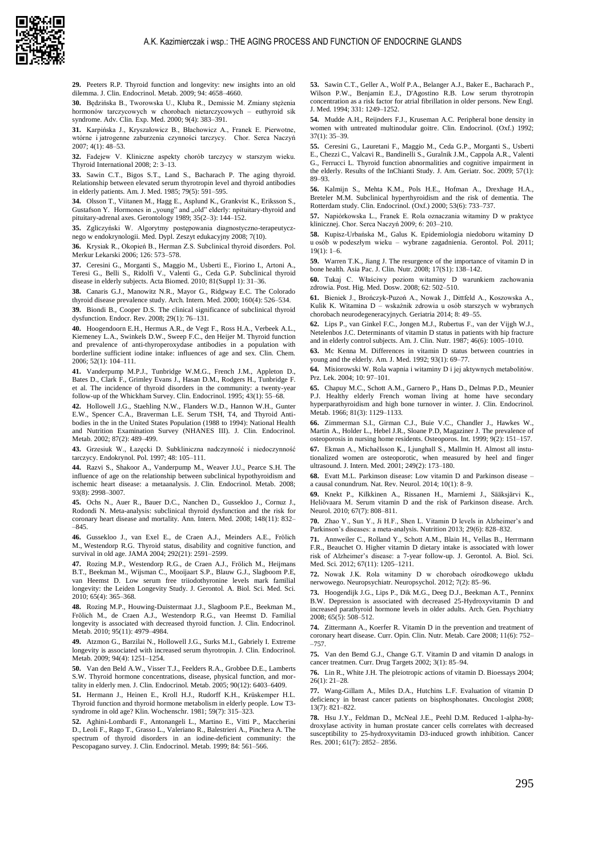

**29.** Peeters R.P. Thyroid function and longevity: new insights into an old dilemma. J. Clin. Endocrinol. Metab. 2009; 94: 4658–4660.

**30.** Będzińska B., Tworowska U., Kluba R., Demissie M. Zmiany stężenia hormonów tarczycowych w chorobach nietarczycowych – euthyroid sik syndrome. Adv. Clin. Exp. Med. 2000; 9(4): 383–391.

**31.** Karpińska J., Kryszałowicz B., Błachowicz A., Franek E. Pierwotne, wtórne i jatrogenne zaburzenia czynności tarczycy. Chor. Serca Naczyń 2007; 4(1): 48–53.

**32.** Fadejew V. Kliniczne aspekty chorób tarczycy w starszym wieku. Thyroid International 2008; 2: 3–13.

**33.** Sawin C.T., Bigos S.T., Land S., Bacharach P. The aging thyroid. Relationship between elevated serum thyrotropin level and thyroid antibodies in elderly patients. Am. J. Med. 1985; 79(5): 591–595.

**34.** Olsson T., Viitanen M., Hagg E., [Asplund K.,](https://www.ncbi.nlm.nih.gov/pubmed/?term=Asplund%20K%5BAuthor%5D&cauthor=true&cauthor_uid=2792782) [Grankvist K.,](https://www.ncbi.nlm.nih.gov/pubmed/?term=Grankvist%20K%5BAuthor%5D&cauthor=true&cauthor_uid=2792782) [Eriksson S.,](https://www.ncbi.nlm.nih.gov/pubmed/?term=Eriksson%20S%5BAuthor%5D&cauthor=true&cauthor_uid=2792782) [Gustafson Y.](https://www.ncbi.nlm.nih.gov/pubmed/?term=Gustafson%20Y%5BAuthor%5D&cauthor=true&cauthor_uid=2792782) Hormones in "young" and "old" elderly: npituitary-thyroid and pituitary-adrenal axes. Gerontology 1989; 35(2–3): 144–152.

**35.** Zgliczyński W. Algorytmy postępowania diagnostyczno-terapeutycznego w endokrynologii. Med. Dypl. Zeszyt edukacyjny 2008; 7(10).

**36.** Krysiak R., Okopień B., Herman Z.S. Subclinical thyroid disorders. Pol. Merkur Lekarski 2006; 126: 573–578.

**37.** Ceresini G., Morganti S., Maggio M.[, Usberti E.,](https://www.ncbi.nlm.nih.gov/pubmed/?term=Usberti%20E%5BAuthor%5D&cauthor=true&cauthor_uid=20518189) [Fiorino I.,](https://www.ncbi.nlm.nih.gov/pubmed/?term=Fiorino%20I%5BAuthor%5D&cauthor=true&cauthor_uid=20518189) [Artoni A.,](https://www.ncbi.nlm.nih.gov/pubmed/?term=Artoni%20A%5BAuthor%5D&cauthor=true&cauthor_uid=20518189) [Teresi G.,](https://www.ncbi.nlm.nih.gov/pubmed/?term=Teresi%20G%5BAuthor%5D&cauthor=true&cauthor_uid=20518189) [Belli S.,](https://www.ncbi.nlm.nih.gov/pubmed/?term=Belli%20S%5BAuthor%5D&cauthor=true&cauthor_uid=20518189) [Ridolfi V.,](https://www.ncbi.nlm.nih.gov/pubmed/?term=Ridolfi%20V%5BAuthor%5D&cauthor=true&cauthor_uid=20518189) [Valenti G.](https://www.ncbi.nlm.nih.gov/pubmed/?term=Valenti%20G%5BAuthor%5D&cauthor=true&cauthor_uid=20518189), [Ceda G.P.](https://www.ncbi.nlm.nih.gov/pubmed/?term=Ceda%20GP%5BAuthor%5D&cauthor=true&cauthor_uid=20518189) Subclinical thyroid disease in elderly subjects. Acta Biomed. 2010; 81(Suppl 1): 31–36.

**38.** Canaris G.J., Manowitz N.R., Mayor G., Ridgway E.C. The Colorado thyroid disease prevalence study. Arch. Intern. Med. 2000; 160(4): 526–534.

**39.** Biondi B., Cooper D.S. The clinical significance of subclinical thyroid dysfunction. Endocr. Rev. 2008; 29(1): 76–131.

**40.** Hoogendoorn E.H., Hermus A.R., de Vegt F., [Ross H.A.,](https://www.ncbi.nlm.nih.gov/pubmed/?term=Ross%20HA%5BAuthor%5D&cauthor=true&cauthor_uid=16254196) [Verbeek A.L.,](https://www.ncbi.nlm.nih.gov/pubmed/?term=Verbeek%20AL%5BAuthor%5D&cauthor=true&cauthor_uid=16254196) [Kiemeney L.A.,](https://www.ncbi.nlm.nih.gov/pubmed/?term=Kiemeney%20LA%5BAuthor%5D&cauthor=true&cauthor_uid=16254196) [Swinkels D.W.,](https://www.ncbi.nlm.nih.gov/pubmed/?term=Swinkels%20DW%5BAuthor%5D&cauthor=true&cauthor_uid=16254196) [Sweep F.C.,](https://www.ncbi.nlm.nih.gov/pubmed/?term=Sweep%20FC%5BAuthor%5D&cauthor=true&cauthor_uid=16254196) [den Heijer M.](https://www.ncbi.nlm.nih.gov/pubmed/?term=den%20Heijer%20M%5BAuthor%5D&cauthor=true&cauthor_uid=16254196) Thyroid function and prevalence of anti-thyroperoxydase antibodies in a population with borderline sufficient iodine intake: influences of age and sex. Clin. Chem. 2006; 52(1): 104–111.

**41.** Vanderpump M.P.J., Tunbridge W.M.G., French J.M., [Appleton D.,](https://www.ncbi.nlm.nih.gov/pubmed/?term=Appleton%20D%5BAuthor%5D&cauthor=true&cauthor_uid=7641412) [Bates D.,](https://www.ncbi.nlm.nih.gov/pubmed/?term=Bates%20D%5BAuthor%5D&cauthor=true&cauthor_uid=7641412) [Clark F.,](https://www.ncbi.nlm.nih.gov/pubmed/?term=Clark%20F%5BAuthor%5D&cauthor=true&cauthor_uid=7641412) [Grimley Evans J.,](https://www.ncbi.nlm.nih.gov/pubmed/?term=Grimley%20Evans%20J%5BAuthor%5D&cauthor=true&cauthor_uid=7641412) [Hasan D.M.](https://www.ncbi.nlm.nih.gov/pubmed/?term=Hasan%20DM%5BAuthor%5D&cauthor=true&cauthor_uid=7641412)[, Rodgers H.](https://www.ncbi.nlm.nih.gov/pubmed/?term=Rodgers%20H%5BAuthor%5D&cauthor=true&cauthor_uid=7641412)[, Tunbridge F.](https://www.ncbi.nlm.nih.gov/pubmed/?term=Tunbridge%20F%5BAuthor%5D&cauthor=true&cauthor_uid=7641412)  et al. The incidence of thyroid disorders in the community: a twenty-year follow-up of the Whickham Survey. Clin. Endocrinol. 1995; 43(1): 55–68.

**42.** Hollowell J.G., Staehling N.W., Flanders W.D., [Hannon W.H.,](https://www.ncbi.nlm.nih.gov/pubmed/?term=Hannon%20WH%5BAuthor%5D&cauthor=true&cauthor_uid=11836274) [Gunter](https://www.ncbi.nlm.nih.gov/pubmed/?term=Gunter%20EW%5BAuthor%5D&cauthor=true&cauthor_uid=11836274)  [E.W.,](https://www.ncbi.nlm.nih.gov/pubmed/?term=Gunter%20EW%5BAuthor%5D&cauthor=true&cauthor_uid=11836274) [Spencer C.A.,](https://www.ncbi.nlm.nih.gov/pubmed/?term=Spencer%20CA%5BAuthor%5D&cauthor=true&cauthor_uid=11836274) [Braverman L.E.](https://www.ncbi.nlm.nih.gov/pubmed/?term=Braverman%20LE%5BAuthor%5D&cauthor=true&cauthor_uid=11836274) Serum TSH, T4, and Thyroid Antibodies in the in the United States Population (1988 to 1994): National Health and Nutrition Examination Survey (NHANES III). J. Clin. Endocrinol. Metab. 2002; 87(2): 489–499.

**43.** Grzesiuk W., Łazęcki D. Subkliniczna nadczynność i niedoczynność tarczycy. Endokrynol. Pol. 1997; 48: 105–111.

**44.** Razvi S., Shakoor A., Vanderpump M., [Weaver J.U.,](https://www.ncbi.nlm.nih.gov/pubmed/?term=Weaver%20JU%5BAuthor%5D&cauthor=true&cauthor_uid=18505765) [Pearce S.H.](https://www.ncbi.nlm.nih.gov/pubmed/?term=Pearce%20SH%5BAuthor%5D&cauthor=true&cauthor_uid=18505765) The influence of age on the relationship between subclinical hypothyroidism and ischemic heart disease: a metaanalysis. J. Clin. Endocrinol. Metab. 2008; 93(8): 2998–3007.

**45.** Ochs N., Auer R., Bauer D.C., [Nanchen D.,](https://www.ncbi.nlm.nih.gov/pubmed/?term=Nanchen%20D%5BAuthor%5D&cauthor=true&cauthor_uid=18490668) [Gussekloo J.,](https://www.ncbi.nlm.nih.gov/pubmed/?term=Gussekloo%20J%5BAuthor%5D&cauthor=true&cauthor_uid=18490668) [Cornuz J.,](https://www.ncbi.nlm.nih.gov/pubmed/?term=Cornuz%20J%5BAuthor%5D&cauthor=true&cauthor_uid=18490668) [Rodondi N.](https://www.ncbi.nlm.nih.gov/pubmed/?term=Rodondi%20N%5BAuthor%5D&cauthor=true&cauthor_uid=18490668) Meta-analysis: subclinical thyroid dysfunction and the risk for coronary heart disease and mortality. Ann. Intern. Med. 2008; 148(11): 832–  $-845.$ 

**46.** Gussekloo J., van Exel E., de Craen A.J., [Meinders A.E.,](https://www.ncbi.nlm.nih.gov/pubmed/?term=Meinders%20AE%5BAuthor%5D&cauthor=true&cauthor_uid=15572717) [Frölich](https://www.ncbi.nlm.nih.gov/pubmed/?term=Fr%C3%B6lich%20M%5BAuthor%5D&cauthor=true&cauthor_uid=15572717)  [M.](https://www.ncbi.nlm.nih.gov/pubmed/?term=Fr%C3%B6lich%20M%5BAuthor%5D&cauthor=true&cauthor_uid=15572717)[, Westendorp R.G.](https://www.ncbi.nlm.nih.gov/pubmed/?term=Westendorp%20RG%5BAuthor%5D&cauthor=true&cauthor_uid=15572717) Thyroid status, disability and cognitive function, and survival in old age. JAMA 2004; 292(21): 2591–2599.

**47.** Rozing M.P., Westendorp R.G., de Craen A.J., [Frölich M.,](https://www.ncbi.nlm.nih.gov/pubmed/?term=Fr%C3%B6lich%20M%5BAuthor%5D&cauthor=true&cauthor_uid=20018826) [Heijmans](https://www.ncbi.nlm.nih.gov/pubmed/?term=Heijmans%20BT%5BAuthor%5D&cauthor=true&cauthor_uid=20018826)  [B.T.,](https://www.ncbi.nlm.nih.gov/pubmed/?term=Heijmans%20BT%5BAuthor%5D&cauthor=true&cauthor_uid=20018826) [Beekman M.,](https://www.ncbi.nlm.nih.gov/pubmed/?term=Beekman%20M%5BAuthor%5D&cauthor=true&cauthor_uid=20018826) [Wijsman C.,](https://www.ncbi.nlm.nih.gov/pubmed/?term=Wijsman%20C%5BAuthor%5D&cauthor=true&cauthor_uid=20018826) [Mooijaart S.P.](https://www.ncbi.nlm.nih.gov/pubmed/?term=Mooijaart%20SP%5BAuthor%5D&cauthor=true&cauthor_uid=20018826), [Blauw G.J.](https://www.ncbi.nlm.nih.gov/pubmed/?term=Blauw%20GJ%5BAuthor%5D&cauthor=true&cauthor_uid=20018826), [Slagboom P.E,](https://www.ncbi.nlm.nih.gov/pubmed/?term=Slagboom%20PE%5BAuthor%5D&cauthor=true&cauthor_uid=20018826)  [van Heemst D.](https://www.ncbi.nlm.nih.gov/pubmed/?term=van%20Heemst%20D%5BAuthor%5D&cauthor=true&cauthor_uid=20018826) Low serum free triiodothyronine levels mark familial longevity: the Leiden Longevity Study. J. Gerontol. A. Biol. Sci. Med. Sci. 2010; 65(4): 365–368.

**48.** Rozing M.P., Houwing-Duistermaat J.J., Slagboom P.E., [Beekman M.,](https://www.ncbi.nlm.nih.gov/pubmed/?term=Beekman%20M%5BAuthor%5D&cauthor=true&cauthor_uid=20739380) [Frölich M.,](https://www.ncbi.nlm.nih.gov/pubmed/?term=Fr%C3%B6lich%20M%5BAuthor%5D&cauthor=true&cauthor_uid=20739380) [de Craen A.J.,](https://www.ncbi.nlm.nih.gov/pubmed/?term=de%20Craen%20AJ%5BAuthor%5D&cauthor=true&cauthor_uid=20739380) [Westendorp R.G.](https://www.ncbi.nlm.nih.gov/pubmed/?term=Westendorp%20RG%5BAuthor%5D&cauthor=true&cauthor_uid=20739380), [van Heemst D.](https://www.ncbi.nlm.nih.gov/pubmed/?term=van%20Heemst%20D%5BAuthor%5D&cauthor=true&cauthor_uid=20739380) Familial longevity is associated with decreased thyroid function. J. Clin. Endocrinol. Metab. 2010; 95(11): 4979–4984.

**49.** Atzmon G., Barzilai N., Hollowell J.G.[, Surks M.I.,](https://www.ncbi.nlm.nih.gov/pubmed/?term=Surks%20MI%5BAuthor%5D&cauthor=true&cauthor_uid=19158193) [Gabriely I.](https://www.ncbi.nlm.nih.gov/pubmed/?term=Gabriely%20I%5BAuthor%5D&cauthor=true&cauthor_uid=19158193) Extreme longevity is associated with increased serum thyrotropin. J. Clin. Endocrinol. Metab. 2009; 94(4): 1251–1254.

**50.** Van den Beld A.W., Visser T.J., Feelders R.A.[, Grobbee D.E.,](https://www.ncbi.nlm.nih.gov/pubmed/?term=Grobbee%20DE%5BAuthor%5D&cauthor=true&cauthor_uid=16174720) [Lamberts](https://www.ncbi.nlm.nih.gov/pubmed/?term=Lamberts%20SW%5BAuthor%5D&cauthor=true&cauthor_uid=16174720)  [S.W.](https://www.ncbi.nlm.nih.gov/pubmed/?term=Lamberts%20SW%5BAuthor%5D&cauthor=true&cauthor_uid=16174720) Thyroid hormone concentrations, disease, physical function, and mortality in elderly men. J. Clin. Endocrinol. Metab. 2005; 90(12): 6403–6409.

**51.** Hermann J., Heinen E., Kroll H.J., Rudorff K.H., Krüskemper H.L. Thyroid function and thyroid hormone metabolism in elderly people. Low T3 syndrome in old age? Klin. Wochenschr. 1981; 59(7): 315–323.

**52.** Aghini-Lombardi F., Antonangeli L., Martino E., [Vitti P.,](https://www.ncbi.nlm.nih.gov/pubmed/?term=Vitti%20P%5BAuthor%5D&cauthor=true&cauthor_uid=10022416) [Maccherini](https://www.ncbi.nlm.nih.gov/pubmed/?term=Maccherini%20D%5BAuthor%5D&cauthor=true&cauthor_uid=10022416)  [D.](https://www.ncbi.nlm.nih.gov/pubmed/?term=Maccherini%20D%5BAuthor%5D&cauthor=true&cauthor_uid=10022416)[, Leoli F.,](https://www.ncbi.nlm.nih.gov/pubmed/?term=Leoli%20F%5BAuthor%5D&cauthor=true&cauthor_uid=10022416) [Rago T.,](https://www.ncbi.nlm.nih.gov/pubmed/?term=Rago%20T%5BAuthor%5D&cauthor=true&cauthor_uid=10022416) [Grasso L.,](https://www.ncbi.nlm.nih.gov/pubmed/?term=Grasso%20L%5BAuthor%5D&cauthor=true&cauthor_uid=10022416) [Valeriano R.](https://www.ncbi.nlm.nih.gov/pubmed/?term=Valeriano%20R%5BAuthor%5D&cauthor=true&cauthor_uid=10022416)[, Balestrieri A.,](https://www.ncbi.nlm.nih.gov/pubmed/?term=Balestrieri%20A%5BAuthor%5D&cauthor=true&cauthor_uid=10022416) [Pinchera A.](https://www.ncbi.nlm.nih.gov/pubmed/?term=Pinchera%20A%5BAuthor%5D&cauthor=true&cauthor_uid=10022416) The spectrum of thyroid disorders in an iodine-deficient community: the Pescopagano survey. J. Clin. Endocrinol. Metab. 1999; 84: 561–566.

**53.** Sawin C.T., Geller A., Wolf P.A.[, Belanger A.J.](https://www.ncbi.nlm.nih.gov/pubmed/?term=Belanger%20AJ%5BAuthor%5D&cauthor=true&cauthor_uid=7935681)[, Baker E.](https://www.ncbi.nlm.nih.gov/pubmed/?term=Baker%20E%5BAuthor%5D&cauthor=true&cauthor_uid=7935681)[, Bacharach P.,](https://www.ncbi.nlm.nih.gov/pubmed/?term=Bacharach%20P%5BAuthor%5D&cauthor=true&cauthor_uid=7935681) [Wilson P.W.,](https://www.ncbi.nlm.nih.gov/pubmed/?term=Wilson%20PW%5BAuthor%5D&cauthor=true&cauthor_uid=7935681) [Benjamin E.J.,](https://www.ncbi.nlm.nih.gov/pubmed/?term=Benjamin%20EJ%5BAuthor%5D&cauthor=true&cauthor_uid=7935681) [D'Agostino R.B.](https://www.ncbi.nlm.nih.gov/pubmed/?term=D%27Agostino%20RB%5BAuthor%5D&cauthor=true&cauthor_uid=7935681) Low serum thyrotropin concentration as a risk factor for atrial fibrillation in older persons. New Engl. J. Med. 1994; 331: 1249–1252.

**54.** Mudde A.H., Reijnders F.J., Kruseman A.C. Peripheral bone density in women with untreated multinodular goitre. Clin. Endocrinol. (Oxf.) 1992; 37(1): 35–39.

**55.** Ceresini G., Lauretani F., Maggio M.[, Ceda G.P.,](https://www.ncbi.nlm.nih.gov/pubmed/?term=Ceda%20GP%5BAuthor%5D&cauthor=true&cauthor_uid=19054181) [Morganti S.,](https://www.ncbi.nlm.nih.gov/pubmed/?term=Morganti%20S%5BAuthor%5D&cauthor=true&cauthor_uid=19054181) [Usberti](https://www.ncbi.nlm.nih.gov/pubmed/?term=Usberti%20E%5BAuthor%5D&cauthor=true&cauthor_uid=19054181)  [E.](https://www.ncbi.nlm.nih.gov/pubmed/?term=Usberti%20E%5BAuthor%5D&cauthor=true&cauthor_uid=19054181)[, Chezzi C.](https://www.ncbi.nlm.nih.gov/pubmed/?term=Chezzi%20C%5BAuthor%5D&cauthor=true&cauthor_uid=19054181)[, Valcavi R.,](https://www.ncbi.nlm.nih.gov/pubmed/?term=Valcavi%20R%5BAuthor%5D&cauthor=true&cauthor_uid=19054181) [Bandinelli S.](https://www.ncbi.nlm.nih.gov/pubmed/?term=Bandinelli%20S%5BAuthor%5D&cauthor=true&cauthor_uid=19054181)[, Guralnik J.M.,](https://www.ncbi.nlm.nih.gov/pubmed/?term=Guralnik%20JM%5BAuthor%5D&cauthor=true&cauthor_uid=19054181) [Cappola A.R.,](https://www.ncbi.nlm.nih.gov/pubmed/?term=Cappola%20AR%5BAuthor%5D&cauthor=true&cauthor_uid=19054181) [Valenti](https://www.ncbi.nlm.nih.gov/pubmed/?term=Valenti%20G%5BAuthor%5D&cauthor=true&cauthor_uid=19054181)  [G.,](https://www.ncbi.nlm.nih.gov/pubmed/?term=Valenti%20G%5BAuthor%5D&cauthor=true&cauthor_uid=19054181) [Ferrucci L.](https://www.ncbi.nlm.nih.gov/pubmed/?term=Ferrucci%20L%5BAuthor%5D&cauthor=true&cauthor_uid=19054181) Thyroid function abnormalities and cognitive impairment in the elderly. Results of the InChianti Study. J. Am. Geriatr. Soc. 2009; 57(1): 89–93.

**56.** Kalmijn S., Mehta K.M., Pols H.E., [Hofman A.,](https://www.ncbi.nlm.nih.gov/pubmed/?term=Hofman%20A%5BAuthor%5D&cauthor=true&cauthor_uid=11155096) [Drexhage H.A.,](https://www.ncbi.nlm.nih.gov/pubmed/?term=Drexhage%20HA%5BAuthor%5D&cauthor=true&cauthor_uid=11155096) [Breteler M.M.](https://www.ncbi.nlm.nih.gov/pubmed/?term=Breteler%20MM%5BAuthor%5D&cauthor=true&cauthor_uid=11155096) Subclinical hyperthyroidism and the risk of dementia. The Rotterdam study. Clin. Endocrinol. (Oxf.) 2000; 53(6): 733–737.

**57.** Napiórkowska L., Franek E. Rola oznaczania witaminy D w praktyce klinicznej. Chor. Serca Naczyń 2009; 6: 203–210.

**58.** Kupisz-Urbańska M., Galus K. Epidemiologia niedoboru witaminy D u osób w podeszłym wieku – wybrane zagadnienia. Gerontol. Pol. 2011; 19(1): 1–6.

**59.** Warren T.K., Jiang J. The resurgence of the importance of vitamin D in bone health. Asia Pac. J. Clin. Nutr. 2008; 17(S1): 138–142.

**60.** Tukaj C. Właściwy poziom witaminy D warunkiem zachowania zdrowia. Post. Hig. Med. Dosw. 2008; 62: 502–510.

**61.** Bieniek J., Brończyk-Puzoń A., Nowak J., Dittfeld A., Koszowska A., Kulik K. Witamina D – wskaźnik zdrowia u osób starszych w wybranych chorobach neurodegeneracyjnych. Geriatria 2014; 8: 49–55.

**62.** Lips P., van Ginkel F.C., Jongen M.J., [Rubertus F.,](https://www.ncbi.nlm.nih.gov/pubmed/?term=Rubertus%20F%5BAuthor%5D&cauthor=true&cauthor_uid=3687818) [van der Vijgh W.J.,](https://www.ncbi.nlm.nih.gov/pubmed/?term=van%20der%20Vijgh%20WJ%5BAuthor%5D&cauthor=true&cauthor_uid=3687818) [Netelenbos J.C.](https://www.ncbi.nlm.nih.gov/pubmed/?term=Netelenbos%20JC%5BAuthor%5D&cauthor=true&cauthor_uid=3687818) Determinants of vitamin D status in patients with hip fracture and in elderly control subjects. Am. J. Clin. Nutr. 1987; 46(6): 1005–1010.

**63.** Mc Kenna M. Differences in vitamin D status between countries in young and the elderly. Am. J. Med. 1992; 93(1): 69–77.

**64.** Misiorowski W. Rola wapnia i witaminy D i jej aktywnych metabolitów. Prz. Lek. 2004; 10: 97–101.

**65.** Chapuy M.C.[, Schott A.M.](https://www.ncbi.nlm.nih.gov/pubmed/?term=Schott%20AM%5BAuthor%5D&cauthor=true&cauthor_uid=8772587)[, Garnero P.,](https://www.ncbi.nlm.nih.gov/pubmed/?term=Garnero%20P%5BAuthor%5D&cauthor=true&cauthor_uid=8772587) [Hans D.,](https://www.ncbi.nlm.nih.gov/pubmed/?term=Hans%20D%5BAuthor%5D&cauthor=true&cauthor_uid=8772587) [Delmas P.D.](https://www.ncbi.nlm.nih.gov/pubmed/?term=Delmas%20PD%5BAuthor%5D&cauthor=true&cauthor_uid=8772587)[, Meunier](https://www.ncbi.nlm.nih.gov/pubmed/?term=Meunier%20PJ%5BAuthor%5D&cauthor=true&cauthor_uid=8772587)  [P.J.](https://www.ncbi.nlm.nih.gov/pubmed/?term=Meunier%20PJ%5BAuthor%5D&cauthor=true&cauthor_uid=8772587) Healthy elderly French woman living at home have secondary hyperparathyroidism and high bone turnover in winter. J. Clin. Endocrinol. Metab. 1966; 81(3): 1129–1133.

**66.** Zimmerman S.I., Girman C.J., Buie V.C., [Chandler J.,](https://www.ncbi.nlm.nih.gov/pubmed/?term=Chandler%20J%5BAuthor%5D&cauthor=true&cauthor_uid=10367043) [Hawkes W.,](https://www.ncbi.nlm.nih.gov/pubmed/?term=Hawkes%20W%5BAuthor%5D&cauthor=true&cauthor_uid=10367043) [Martin A.,](https://www.ncbi.nlm.nih.gov/pubmed/?term=Martin%20A%5BAuthor%5D&cauthor=true&cauthor_uid=10367043) [Holder L.,](https://www.ncbi.nlm.nih.gov/pubmed/?term=Holder%20L%5BAuthor%5D&cauthor=true&cauthor_uid=10367043) [Hebel J.R.](https://www.ncbi.nlm.nih.gov/pubmed/?term=Hebel%20JR%5BAuthor%5D&cauthor=true&cauthor_uid=10367043)[, Sloane P.D,](https://www.ncbi.nlm.nih.gov/pubmed/?term=Sloane%20PD%5BAuthor%5D&cauthor=true&cauthor_uid=10367043) [Magaziner J.](https://www.ncbi.nlm.nih.gov/pubmed/?term=Magaziner%20J%5BAuthor%5D&cauthor=true&cauthor_uid=10367043) The prevalence of osteoporosis in nursing home residents. Osteoporos. Int. 1999; 9(2): 151–157.

**67.** Ekman A., Michaëlsson K., Ljunghall S., Mallmin H. Almost all instutionalized women are osteoporotic, when measured by heel and finger ultrasound. J. Intern. Med. 2001; 249(2): 173–180.

**68.** Evatt M.L. Parkinson disease: Low vitamin D and Parkinson disease – a causal conundrum. Nat. Rev. Neurol. 2014; 10(1): 8–9.

**69.** Knekt P., Kilkkinen A., Rissanen H., [Marniemi J.,](https://www.ncbi.nlm.nih.gov/pubmed/?term=Marniemi%20J%5BAuthor%5D&cauthor=true&cauthor_uid=20625085) [Sääksjärvi K.,](https://www.ncbi.nlm.nih.gov/pubmed/?term=S%C3%A4%C3%A4ksj%C3%A4rvi%20K%5BAuthor%5D&cauthor=true&cauthor_uid=20625085) [Heliövaara M.](https://www.ncbi.nlm.nih.gov/pubmed/?term=Heli%C3%B6vaara%20M%5BAuthor%5D&cauthor=true&cauthor_uid=20625085) Serum vitamin D and the risk of Parkinson disease. Arch. Neurol. 2010; 67(7): 808–811.

**70.** Zhao Y., Sun Y., Ji H.F., Shen L. Vitamin D levels in Alzheimer's and Parkinson's diseases: a meta-analysis. Nutrition 2013; 29(6): 828–832.

**71.** [Annweiler C.,](https://www.ncbi.nlm.nih.gov/pubmed/?term=Annweiler%20C%5BAuthor%5D&cauthor=true&cauthor_uid=22503994) [Rolland Y.,](https://www.ncbi.nlm.nih.gov/pubmed/?term=Rolland%20Y%5BAuthor%5D&cauthor=true&cauthor_uid=22503994) [Schott A.M.,](https://www.ncbi.nlm.nih.gov/pubmed/?term=Schott%20AM%5BAuthor%5D&cauthor=true&cauthor_uid=22503994) [Blain H.,](https://www.ncbi.nlm.nih.gov/pubmed/?term=Blain%20H%5BAuthor%5D&cauthor=true&cauthor_uid=22503994) [Vellas B.,](https://www.ncbi.nlm.nih.gov/pubmed/?term=Vellas%20B%5BAuthor%5D&cauthor=true&cauthor_uid=22503994) [Herrmann](https://www.ncbi.nlm.nih.gov/pubmed/?term=Herrmann%20FR%5BAuthor%5D&cauthor=true&cauthor_uid=22503994)  [F.R.,](https://www.ncbi.nlm.nih.gov/pubmed/?term=Herrmann%20FR%5BAuthor%5D&cauthor=true&cauthor_uid=22503994) [Beauchet O.](https://www.ncbi.nlm.nih.gov/pubmed/?term=Beauchet%20O%5BAuthor%5D&cauthor=true&cauthor_uid=22503994) Higher vitamin D dietary intake is associated with lower risk of Alzheimer's disease: a 7-year follow-up. J. Gerontol. A. Biol. Sci. Med. Sci. 2012; 67(11): 1205–1211.

**72.** Nowak J.K. Rola witaminy D w chorobach ośrodkowego układu nerwowego. Neuropsychiatr. Neuropsychol. 2012; 7(2): 85–96.

**73.** Hoogendijk J.G.[, Lips P.,](https://www.ncbi.nlm.nih.gov/pubmed/?term=Lips%20P%5BAuthor%5D&cauthor=true&cauthor_uid=18458202) [Dik M.G.,](https://www.ncbi.nlm.nih.gov/pubmed/?term=Dik%20MG%5BAuthor%5D&cauthor=true&cauthor_uid=18458202) [Deeg D.J.](https://www.ncbi.nlm.nih.gov/pubmed/?term=Deeg%20DJ%5BAuthor%5D&cauthor=true&cauthor_uid=18458202)[, Beekman A.T.](https://www.ncbi.nlm.nih.gov/pubmed/?term=Beekman%20AT%5BAuthor%5D&cauthor=true&cauthor_uid=18458202)[, Penninx](https://www.ncbi.nlm.nih.gov/pubmed/?term=Penninx%20BW%5BAuthor%5D&cauthor=true&cauthor_uid=18458202)  [B.W.](https://www.ncbi.nlm.nih.gov/pubmed/?term=Penninx%20BW%5BAuthor%5D&cauthor=true&cauthor_uid=18458202) Depression is associated with decreased 25-Hydroxyvitamin D and increased parathyroid hormone levels in older adults. Arch. Gen. Psychiatry 2008; 65(5): 508–512.

**74.** Zittermann A., Koerfer R. Vitamin D in the prevention and treatment of coronary heart disease. Curr. Opin. Clin. Nutr. Metab. Care 2008; 11(6): 752– –757.

**75.** Van den Bemd G.J., Change G.T. Vitamin D and vitamin D analogs in cancer treatmen. Curr. Drug Targets 2002; 3(1): 85–94.

**76.** Lin R., White J.H. The pleiotropic actions of vitamin D. Bioessays 2004; 26(1): 21–28.

**77.** Wang-Gillam A., Miles D.A., Hutchins L.F. Evaluation of vitamin D deficiency in breast cancer patients on bisphosphonates. Oncologist 2008; 13(7): 821–822.

**78.** Hsu J.Y., Feldman D., McNeal J.E., Peehl D.M. Reduced 1-alpha-hydroxylase activity in human prostate cancer cells correlates with decreased susceptibility to 25-hydroxyvitamin D3-induced growth inhibition. Cancer Res. 2001; 61(7): 2852– 2856.